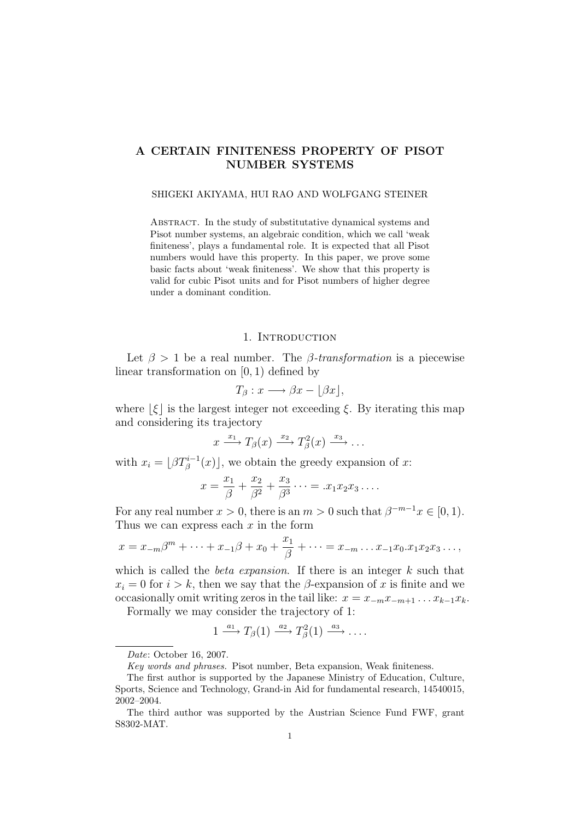# A CERTAIN FINITENESS PROPERTY OF PISOT NUMBER SYSTEMS

### SHIGEKI AKIYAMA, HUI RAO AND WOLFGANG STEINER

ABSTRACT. In the study of substitutative dynamical systems and Pisot number systems, an algebraic condition, which we call 'weak finiteness', plays a fundamental role. It is expected that all Pisot numbers would have this property. In this paper, we prove some basic facts about 'weak finiteness'. We show that this property is valid for cubic Pisot units and for Pisot numbers of higher degree under a dominant condition.

## 1. INTRODUCTION

Let  $\beta > 1$  be a real number. The  $\beta$ -transformation is a piecewise linear transformation on [0, 1) defined by

$$
T_{\beta}: x \longrightarrow \beta x - \lfloor \beta x \rfloor,
$$

where  $|\xi|$  is the largest integer not exceeding  $\xi$ . By iterating this map and considering its trajectory

$$
x \xrightarrow{x_1} T_\beta(x) \xrightarrow{x_2} T_\beta^2(x) \xrightarrow{x_3} \dots
$$

with  $x_i = \lfloor \beta T_{\beta}^{i-1}(x) \rfloor$ , we obtain the greedy expansion of x:

$$
x = \frac{x_1}{\beta} + \frac{x_2}{\beta^2} + \frac{x_3}{\beta^3} \cdots = .x_1 x_2 x_3 \cdots
$$

For any real number  $x > 0$ , there is an  $m > 0$  such that  $\beta^{-m-1}x \in [0, 1)$ . Thus we can express each  $x$  in the form

$$
x = x_{-m}\beta^{m} + \dots + x_{-1}\beta + x_{0} + \frac{x_{1}}{\beta} + \dots = x_{-m} \dots x_{-1}x_{0}.x_{1}x_{2}x_{3} \dots,
$$

which is called the *beta expansion*. If there is an integer  $k$  such that  $x_i = 0$  for  $i > k$ , then we say that the  $\beta$ -expansion of x is finite and we occasionally omit writing zeros in the tail like:  $x = x_{-m}x_{-m+1} \dots x_{k-1}x_k$ .

Formally we may consider the trajectory of 1:

$$
1 \xrightarrow{a_1} T_\beta(1) \xrightarrow{a_2} T_\beta^2(1) \xrightarrow{a_3} \dots
$$

Date: October 16, 2007.

Key words and phrases. Pisot number, Beta expansion, Weak finiteness.

The first author is supported by the Japanese Ministry of Education, Culture, Sports, Science and Technology, Grand-in Aid for fundamental research, 14540015, 2002–2004.

The third author was supported by the Austrian Science Fund FWF, grant S8302-MAT.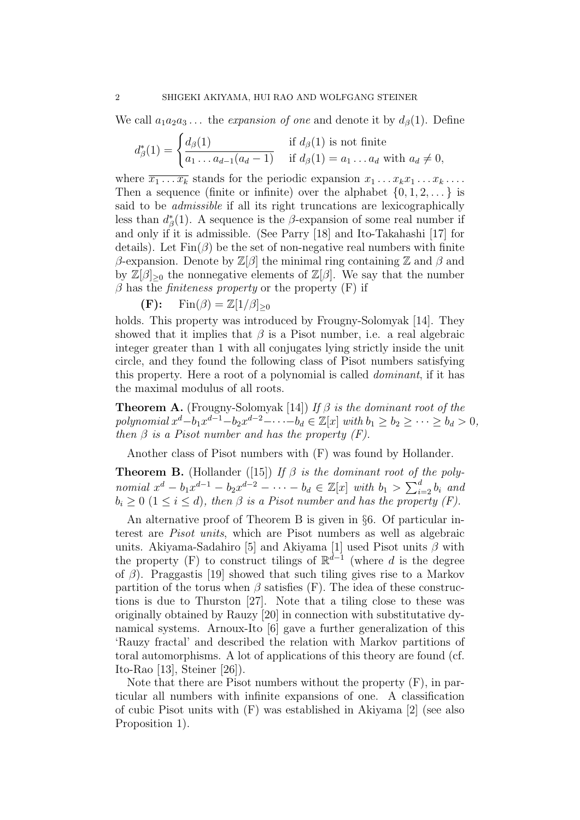We call  $a_1a_2a_3...$  the *expansion of one* and denote it by  $d_\beta(1)$ . Define

$$
d_{\beta}^*(1) = \begin{cases} d_{\beta}(1) & \text{if } d_{\beta}(1) \text{ is not finite} \\ \overline{a_1 \dots a_{d-1}(a_d - 1)} & \text{if } d_{\beta}(1) = a_1 \dots a_d \text{ with } a_d \neq 0, \end{cases}
$$

where  $\overline{x_1 \dots x_k}$  stands for the periodic expansion  $x_1 \dots x_k x_1 \dots x_k \dots$ Then a sequence (finite or infinite) over the alphabet  $\{0, 1, 2, \ldots\}$  is said to be *admissible* if all its right truncations are lexicographically less than  $d^*_{\beta}(1)$ . A sequence is the  $\beta$ -expansion of some real number if and only if it is admissible. (See Parry [18] and Ito-Takahashi [17] for details). Let  $\text{Fin}(\beta)$  be the set of non-negative real numbers with finite β-expansion. Denote by  $\mathbb{Z}[\beta]$  the minimal ring containing  $\mathbb{Z}$  and β and by  $\mathbb{Z}[\beta]_{\geq 0}$  the nonnegative elements of  $\mathbb{Z}[\beta]$ . We say that the number  $\beta$  has the *finiteness property* or the property (F) if

 $(\mathbf{F})$ : Fin $(\beta) = \mathbb{Z}[1/\beta]_{\geq 0}$ 

holds. This property was introduced by Frougny-Solomyak [14]. They showed that it implies that  $\beta$  is a Pisot number, i.e. a real algebraic integer greater than 1 with all conjugates lying strictly inside the unit circle, and they found the following class of Pisot numbers satisfying this property. Here a root of a polynomial is called dominant, if it has the maximal modulus of all roots.

**Theorem A.** (Frougny-Solomyak [14]) If  $\beta$  is the dominant root of the polynomial  $x^d - b_1 x^{d-1} - b_2 x^{d-2} - \cdots - b_d \in \mathbb{Z}[x]$  with  $b_1 \geq b_2 \geq \cdots \geq b_d > 0$ , then  $\beta$  is a Pisot number and has the property  $(F)$ .

Another class of Pisot numbers with (F) was found by Hollander.

**Theorem B.** (Hollander ([15]) If  $\beta$  is the dominant root of the polynomial  $x^d - b_1 x^{d-1} - b_2 x^{d-2} - \cdots - b_d \in \mathbb{Z}[x]$  with  $b_1 > \sum_{i=2}^d b_i$  and  $b_i \geq 0$  ( $1 \leq i \leq d$ ), then  $\beta$  is a Pisot number and has the property (F).

An alternative proof of Theorem B is given in §6. Of particular interest are Pisot units, which are Pisot numbers as well as algebraic units. Akiyama-Sadahiro [5] and Akiyama [1] used Pisot units  $\beta$  with the property (F) to construct tilings of  $\mathbb{R}^{d-1}$  (where d is the degree of  $\beta$ ). Praggastis [19] showed that such tiling gives rise to a Markov partition of the torus when  $\beta$  satisfies (F). The idea of these constructions is due to Thurston [27]. Note that a tiling close to these was originally obtained by Rauzy [20] in connection with substitutative dynamical systems. Arnoux-Ito [6] gave a further generalization of this 'Rauzy fractal' and described the relation with Markov partitions of toral automorphisms. A lot of applications of this theory are found (cf. Ito-Rao [13], Steiner [26]).

Note that there are Pisot numbers without the property (F), in particular all numbers with infinite expansions of one. A classification of cubic Pisot units with (F) was established in Akiyama [2] (see also Proposition 1).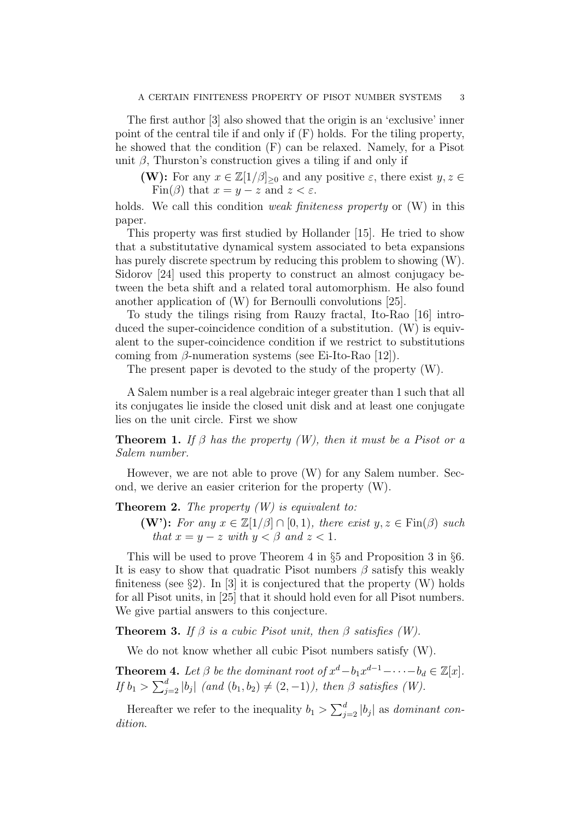The first author [3] also showed that the origin is an 'exclusive' inner point of the central tile if and only if (F) holds. For the tiling property, he showed that the condition (F) can be relaxed. Namely, for a Pisot unit  $\beta$ , Thurston's construction gives a tiling if and only if

**(W):** For any  $x \in \mathbb{Z}[1/\beta]_{\geq 0}$  and any positive  $\varepsilon$ , there exist  $y, z \in \mathbb{Z}[1/\beta]_{\geq 0}$ Fin( $\beta$ ) that  $x = y - z$  and  $z < \varepsilon$ .

holds. We call this condition *weak finiteness property* or  $(W)$  in this paper.

This property was first studied by Hollander [15]. He tried to show that a substitutative dynamical system associated to beta expansions has purely discrete spectrum by reducing this problem to showing (W). Sidorov [24] used this property to construct an almost conjugacy between the beta shift and a related toral automorphism. He also found another application of (W) for Bernoulli convolutions [25].

To study the tilings rising from Rauzy fractal, Ito-Rao [16] introduced the super-coincidence condition of a substitution. (W) is equivalent to the super-coincidence condition if we restrict to substitutions coming from  $\beta$ -numeration systems (see Ei-Ito-Rao [12]).

The present paper is devoted to the study of the property (W).

A Salem number is a real algebraic integer greater than 1 such that all its conjugates lie inside the closed unit disk and at least one conjugate lies on the unit circle. First we show

**Theorem 1.** If  $\beta$  has the property (W), then it must be a Pisot or a Salem number.

However, we are not able to prove (W) for any Salem number. Second, we derive an easier criterion for the property (W).

**Theorem 2.** The property  $(W)$  is equivalent to:

(W'): For any  $x \in \mathbb{Z}[1/\beta] \cap [0,1)$ , there exist  $y, z \in \text{Fin}(\beta)$  such that  $x = y - z$  with  $y < \beta$  and  $z < 1$ .

This will be used to prove Theorem 4 in §5 and Proposition 3 in §6. It is easy to show that quadratic Pisot numbers  $\beta$  satisfy this weakly finiteness (see  $\S 2$ ). In [3] it is conjectured that the property (W) holds for all Pisot units, in [25] that it should hold even for all Pisot numbers. We give partial answers to this conjecture.

**Theorem 3.** If  $\beta$  is a cubic Pisot unit, then  $\beta$  satisfies (W).

We do not know whether all cubic Pisot numbers satisfy (W).

**Theorem 4.** Let  $\beta$  be the dominant root of  $x^d - b_1 x^{d-1} - \cdots - b_d \in \mathbb{Z}[x]$ . If  $b_1 > \sum_{j=2}^d |b_j|$  (and  $(b_1, b_2) \neq (2, -1)$ ), then  $\beta$  satisfies (W).

Hereafter we refer to the inequality  $b_1 > \sum_{j=2}^d |b_j|$  as *dominant con*dition.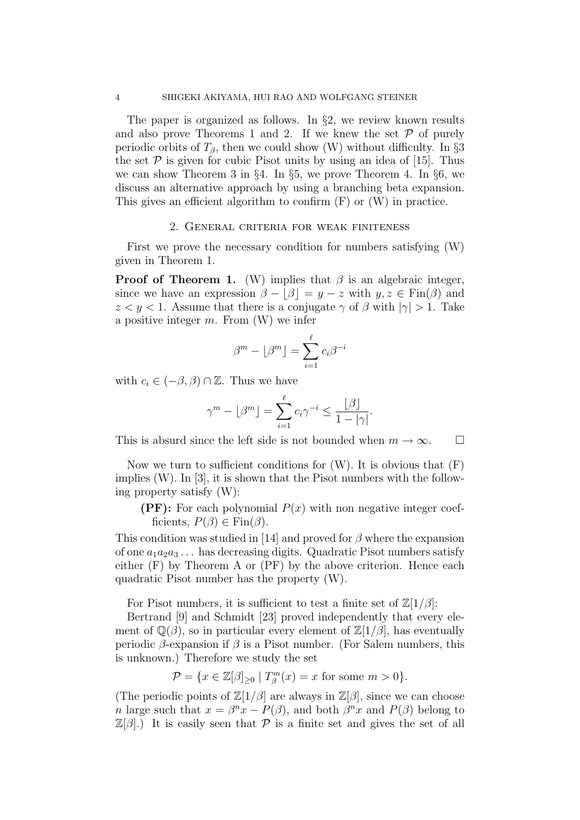The paper is organized as follows. In  $\S 2$ , we review known results and also prove Theorems 1 and 2. If we knew the set  $P$  of purely periodic orbits of  $T_\beta$ , then we could show (W) without difficulty. In §3 the set  $P$  is given for cubic Pisot units by using an idea of [15]. Thus we can show Theorem 3 in §4. In §5, we prove Theorem 4. In §6, we discuss an alternative approach by using a branching beta expansion. This gives an efficient algorithm to confirm  $(F)$  or  $(W)$  in practice.

### 2. General criteria for weak finiteness

First we prove the necessary condition for numbers satisfying (W) given in Theorem 1.

**Proof of Theorem 1.** (W) implies that  $\beta$  is an algebraic integer, since we have an expression  $\beta - |\beta| = y - z$  with  $y, z \in Fin(\beta)$  and  $z < y < 1$ . Assume that there is a conjugate  $\gamma$  of  $\beta$  with  $|\gamma| > 1$ . Take a positive integer  $m$ . From  $(W)$  we infer

$$
\beta^m - \lfloor \beta^m \rfloor = \sum_{i=1}^{\ell} c_i \beta^{-i}
$$

with  $c_i \in (-\beta, \beta) \cap \mathbb{Z}$ . Thus we have

$$
\gamma^{m} - \lfloor \beta^{m} \rfloor = \sum_{i=1}^{\ell} c_{i} \gamma^{-i} \le \frac{\lfloor \beta \rfloor}{1 - |\gamma|}.
$$

This is absurd since the left side is not bounded when  $m \to \infty$ .  $\Box$ 

Now we turn to sufficient conditions for  $(W)$ . It is obvious that  $(F)$ implies (W). In [3], it is shown that the Pisot numbers with the following property satisfy (W):

**(PF):** For each polynomial  $P(x)$  with non negative integer coefficients,  $P(\beta) \in \text{Fin}(\beta)$ .

This condition was studied in [14] and proved for  $\beta$  where the expansion of one  $a_1a_2a_3\ldots$  has decreasing digits. Quadratic Pisot numbers satisfy either (F) by Theorem A or (PF) by the above criterion. Hence each quadratic Pisot number has the property (W).

For Pisot numbers, it is sufficient to test a finite set of  $\mathbb{Z}[1/\beta]$ :

Bertrand [9] and Schmidt [23] proved independently that every element of  $\mathbb{Q}(\beta)$ , so in particular every element of  $\mathbb{Z}[1/\beta]$ , has eventually periodic  $\beta$ -expansion if  $\beta$  is a Pisot number. (For Salem numbers, this is unknown.) Therefore we study the set

$$
\mathcal{P} = \{x \in \mathbb{Z}[\beta]_{\geq 0} \mid T_{\beta}^{m}(x) = x \text{ for some } m > 0\}.
$$

(The periodic points of  $\mathbb{Z}[1/\beta]$  are always in  $\mathbb{Z}[\beta]$ , since we can choose *n* large such that  $x = \beta^n x - P(\beta)$ , and both  $\beta^n x$  and  $P(\beta)$  belong to  $\mathbb{Z}[\beta]$ .) It is easily seen that P is a finite set and gives the set of all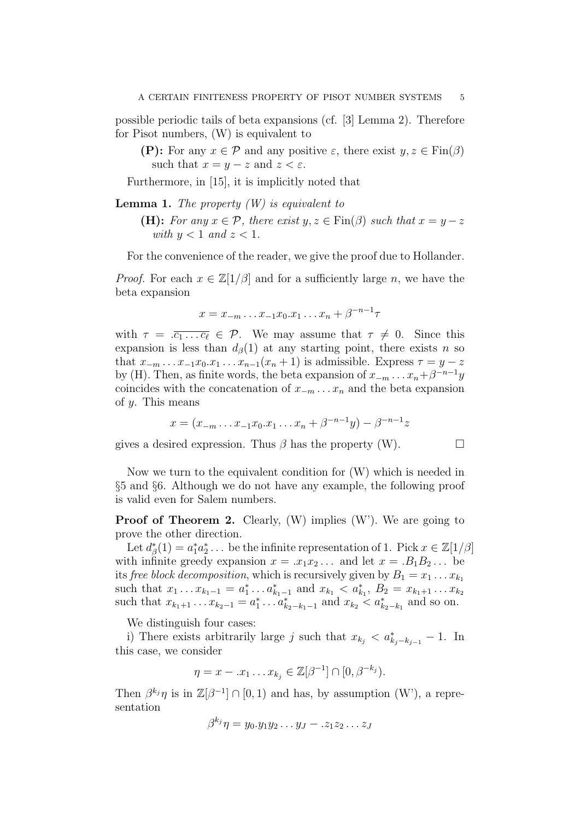possible periodic tails of beta expansions (cf. [3] Lemma 2). Therefore for Pisot numbers, (W) is equivalent to

(P): For any  $x \in \mathcal{P}$  and any positive  $\varepsilon$ , there exist  $y, z \in \text{Fin}(\beta)$ such that  $x = y - z$  and  $z < \varepsilon$ .

Furthermore, in [15], it is implicitly noted that

**Lemma 1.** The property  $(W)$  is equivalent to

(H): For any  $x \in \mathcal{P}$ , there exist  $y, z \in \text{Fin}(\beta)$  such that  $x = y - z$ with  $y < 1$  and  $z < 1$ .

For the convenience of the reader, we give the proof due to Hollander.

*Proof.* For each  $x \in \mathbb{Z}[1/\beta]$  and for a sufficiently large n, we have the beta expansion

$$
x = x_{-m} \dots x_{-1} x_0 \dots x_1 \dots x_n + \beta^{-n-1} \tau
$$

with  $\tau = \overline{c_1 \dots c_\ell} \in \mathcal{P}$ . We may assume that  $\tau \neq 0$ . Since this expansion is less than  $d_{\beta}(1)$  at any starting point, there exists n so that  $x_{-m} \ldots x_{-1}x_0 \ldots x_{n-1}(x_n+1)$  is admissible. Express  $\tau = y - z$ by (H). Then, as finite words, the beta expansion of  $x_{-m} \dots x_n + \beta^{-n-1}y$ coincides with the concatenation of  $x_{-m} \ldots x_n$  and the beta expansion of  $y$ . This means

$$
x = (x_{-m} \dots x_{-1} x_0 x_1 \dots x_n + \beta^{-n-1} y) - \beta^{-n-1} z
$$

gives a desired expression. Thus  $\beta$  has the property (W).

Now we turn to the equivalent condition for (W) which is needed in §5 and §6. Although we do not have any example, the following proof is valid even for Salem numbers.

**Proof of Theorem 2.** Clearly,  $(W)$  implies  $(W')$ . We are going to prove the other direction.

Let  $d_{\beta}^{*}(1) = a_{1}^{*}a_{2}^{*} \dots$  be the infinite representation of 1. Pick  $x \in \mathbb{Z}[1/\beta]$ with infinite greedy expansion  $x = .x_1x_2...$  and let  $x = .B_1B_2...$  be its free block decomposition, which is recursively given by  $B_1 = x_1 \dots x_{k_1}$ such that  $x_1 \ldots x_{k_1-1} = a_1^* \ldots a_{k_1-1}^*$  and  $x_{k_1} < a_{k_1}^*$ ,  $B_2 = x_{k_1+1} \ldots x_{k_2}$ such that  $x_{k_1+1} \ldots x_{k_2-1} = a_1^* \ldots a_{k_2-k_1-1}^*$  and  $x_{k_2} < a_{k_2-k_1}^*$  and so on.

We distinguish four cases:

i) There exists arbitrarily large j such that  $x_{k_j} < a_{k_j-k_{j-1}}^* - 1$ . In this case, we consider

$$
\eta = x - .x_1 \dots x_{k_j} \in \mathbb{Z}[\beta^{-1}] \cap [0, \beta^{-k_j}).
$$

Then  $\beta^{k_j}\eta$  is in  $\mathbb{Z}[\beta^{-1}] \cap [0,1)$  and has, by assumption (W'), a representation

$$
\beta^{k_j}\eta = y_0.y_1y_2\ldots y_J - z_1z_2\ldots z_J
$$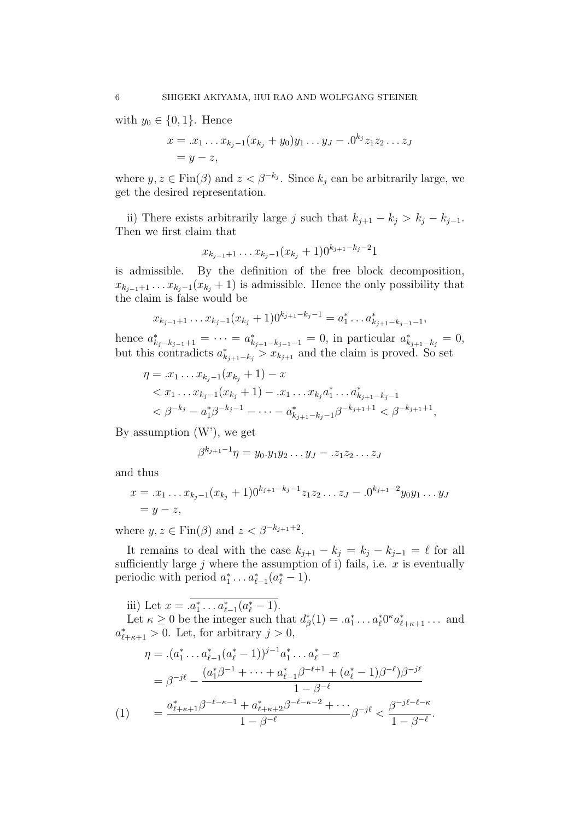with  $y_0 \in \{0, 1\}$ . Hence

$$
x = .x_1 \dots x_{k_j - 1}(x_{k_j} + y_0)y_1 \dots y_J - .0^{k_j} z_1 z_2 \dots z_J
$$
  
=  $y - z$ ,

where  $y, z \in \text{Fin}(\beta)$  and  $z < \beta^{-k_j}$ . Since  $k_j$  can be arbitrarily large, we get the desired representation.

ii) There exists arbitrarily large j such that  $k_{j+1} - k_j > k_j - k_{j-1}$ . Then we first claim that

$$
x_{k_{j-1}+1} \dots x_{k_j-1} (x_{k_j}+1) 0^{k_{j+1}-k_j-2} 1
$$

is admissible. By the definition of the free block decomposition,  $x_{k_{i-1}+1} \ldots x_{k_i-1}(x_{k_i}+1)$  is admissible. Hence the only possibility that the claim is false would be

$$
x_{k_{j-1}+1} \dots x_{k_j-1} (x_{k_j}+1) 0^{k_{j+1}-k_j-1} = a_1^* \dots a_{k_{j+1}-k_{j-1}-1}^*
$$

,

hence  $a_{k_j-k_{j-1}+1}^* = \cdots = a_{k_{j+1}-k_{j-1}-1}^* = 0$ , in particular  $a_{k_{j+1}-k_j}^* = 0$ , but this contradicts  $a_{k_{j+1}-k_j}^* > x_{k_{j+1}}$  and the claim is proved. So set

$$
\eta = .x_1 \dots x_{k_j - 1}(x_{k_j} + 1) - x
$$
  

$$
< x_1 \dots x_{k_j - 1}(x_{k_j} + 1) - .x_1 \dots x_{k_j} a_1^* \dots a_{k_{j+1} - k_j - 1}^*
$$
  

$$
< \beta^{-k_j} - a_1^* \beta^{-k_j - 1} - \dots - a_{k_{j+1} - k_j - 1}^* \beta^{-k_{j+1} + 1} < \beta^{-k_{j+1} + 1},
$$

By assumption  $(W)$ , we get

$$
\beta^{k_{j+1}-1}\eta=y_0.y_1y_2\ldots y_J-z_1z_2\ldots z_J
$$

and thus

$$
x = .x_1 \dots x_{k_j-1} (x_{k_j} + 1) 0^{k_{j+1}-k_j-1} z_1 z_2 \dots z_J - .0^{k_{j+1}-2} y_0 y_1 \dots y_J
$$
  
=  $y - z$ ,

where  $y, z \in \text{Fin}(\beta)$  and  $z < \beta^{-k_{j+1}+2}$ .

It remains to deal with the case  $k_{j+1} - k_j = k_j - k_{j-1} = \ell$  for all sufficiently large  $j$  where the assumption of i) fails, i.e.  $x$  is eventually periodic with period  $a_1^* \dots a_{\ell-1}^* (a_{\ell}^* - 1)$ .

iii) Let  $x = .a_1^* \dots a_{\ell-1}^* (a_{\ell}^* - 1)$ .

Let  $\kappa \geq 0$  be the integer such that  $d_{\beta}^{*}(1) = .a_{1}^{*} \dots a_{\ell}^{*} 0^{\kappa} a_{\ell+\kappa+1}^{*} \dots$  and  $a_{\ell+\kappa+1}^* > 0$ . Let, for arbitrary  $j > 0$ ,

$$
\eta = .(a_1^* \dots a_{\ell-1}^*(a_\ell^* - 1))^{j-1} a_1^* \dots a_\ell^* - x
$$
  
= 
$$
\beta^{-j\ell} - \frac{(a_1^*\beta^{-1} + \dots + a_{\ell-1}^*\beta^{-\ell+1} + (a_\ell^* - 1)\beta^{-\ell})\beta^{-j\ell}}{1 - \beta^{-\ell}}
$$
  
(1) = 
$$
\frac{a_{\ell+\kappa+1}^*\beta^{-\ell-\kappa-1} + a_{\ell+\kappa+2}^*\beta^{-\ell-\kappa-2} + \dots}{1 - \beta^{-\ell}} \beta^{-j\ell} < \frac{\beta^{-j\ell-\ell-\kappa}}{1 - \beta^{-\ell}}.
$$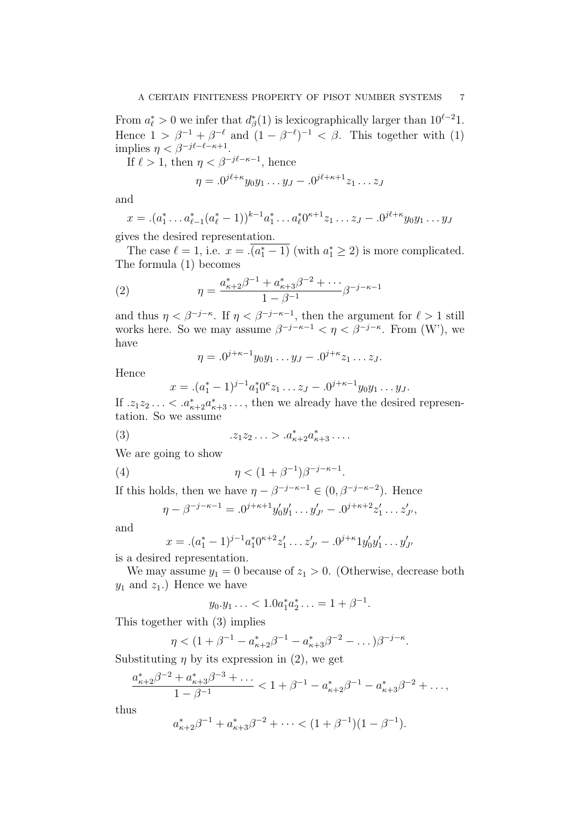From  $a_{\ell}^* > 0$  we infer that  $d_{\beta}^*(1)$  is lexicographically larger than  $10^{\ell-2}1$ . Hence  $1 > \beta^{-1} + \beta^{-\ell}$  and  $(1 - \beta^{-\ell})^{-1} < \beta$ . This together with (1) implies  $\eta < \beta^{-j\ell-\ell-\kappa+1}$ .

If  $\ell > 1$ , then  $\eta < \beta^{-j\ell - \kappa - 1}$ , hence

$$
\eta = .0^{j\ell + \kappa} y_0 y_1 \dots y_J - .0^{j\ell + \kappa + 1} z_1 \dots z_J
$$

and

$$
x = .(a_1^* \dots a_{\ell-1}^* (a_{\ell}^* - 1))^{k-1} a_1^* \dots a_{\ell}^* 0^{\kappa+1} z_1 \dots z_J - .0^{j\ell+\kappa} y_0 y_1 \dots y_J
$$

gives the desired representation.

The case  $\ell = 1$ , i.e.  $x = \sqrt{a_1^* - 1}$  (with  $a_1^* \ge 2$ ) is more complicated. The formula (1) becomes

(2) 
$$
\eta = \frac{a_{\kappa+2}^* \beta^{-1} + a_{\kappa+3}^* \beta^{-2} + \cdots}{1 - \beta^{-1}} \beta^{-j - \kappa - 1}
$$

and thus  $\eta < \beta^{-j-\kappa}$ . If  $\eta < \beta^{-j-\kappa-1}$ , then the argument for  $\ell > 1$  still works here. So we may assume  $\beta^{-j-\kappa-1} < \eta < \beta^{-j-\kappa}$ . From (W'), we have

$$
\eta = .0^{j+\kappa-1}y_0y_1 \dots y_J - .0^{j+\kappa}z_1 \dots z_J.
$$

Hence

$$
x = (a_1^* - 1)^{j-1} a_1^* 0^k z_1 \dots z_J - 0^{j+\kappa-1} y_0 y_1 \dots y_J.
$$

If  $z_1 z_2 \ldots < a_{\kappa+2}^* a_{\kappa+3}^* \ldots$ , then we already have the desired representation. So we assume

(3) 
$$
z_1 z_2 \ldots > a_{\kappa+2}^* a_{\kappa+3}^* \ldots
$$

We are going to show

(4) 
$$
\eta < (1 + \beta^{-1})\beta^{-j - \kappa - 1}.
$$

If this holds, then we have  $\eta - \beta^{-j-\kappa-1} \in (0, \beta^{-j-\kappa-2})$ . Hence

$$
\eta - \beta^{-j-\kappa-1} = .0^{j+\kappa+1} y_0' y_1' \dots y_{J'}' - .0^{j+\kappa+2} z_1' \dots z_{J'}',
$$

and

$$
x = .(a_1^* - 1)^{j-1}a_1^*0^{\kappa+2}z_1' \ldots z_{J'}' - .0^{j+\kappa}1y_0'y_1' \ldots y_{J'}'
$$

is a desired representation.

We may assume  $y_1 = 0$  because of  $z_1 > 0$ . (Otherwise, decrease both  $y_1$  and  $z_1$ .) Hence we have

$$
y_0.y_1 \ldots < 1.0a_1^* a_2^* \ldots = 1 + \beta^{-1}.
$$

This together with (3) implies

$$
\eta < (1 + \beta^{-1} - a_{\kappa+2}^* \beta^{-1} - a_{\kappa+3}^* \beta^{-2} - \dots) \beta^{-j-\kappa}.
$$

Substituting  $\eta$  by its expression in (2), we get

$$
\frac{a_{\kappa+2}^*\beta^{-2} + a_{\kappa+3}^*\beta^{-3} + \dots}{1 - \beta^{-1}} < 1 + \beta^{-1} - a_{\kappa+2}^*\beta^{-1} - a_{\kappa+3}^*\beta^{-2} + \dots,
$$

thus

$$
a_{\kappa+2}^* \beta^{-1} + a_{\kappa+3}^* \beta^{-2} + \dots < (1 + \beta^{-1})(1 - \beta^{-1}).
$$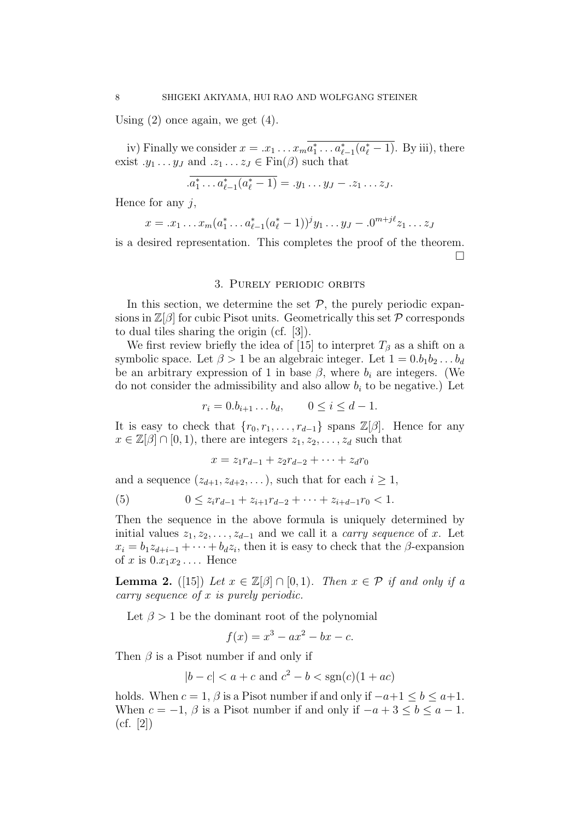Using  $(2)$  once again, we get  $(4)$ .

iv) Finally we consider  $x = .x_1 \dots x_m a_1^* \dots a_{\ell-1}^* (a_{\ell}^* - 1)$ . By iii), there exist  $.y_1 \ldots y_J$  and  $.z_1 \ldots z_J \in \text{Fin}(\beta)$  such that

$$
\overline{.a_1^* \dots a_{\ell-1}^*(a_{\ell}^*-1)} = .y_1 \dots y_J - .z_1 \dots z_J.
$$

Hence for any  $j$ ,

$$
x = .x_1 \dots x_m (a_1^* \dots a_{\ell-1}^* (a_{\ell}^* - 1))^j y_1 \dots y_J - .0^{m+j\ell} z_1 \dots z_J
$$

is a desired representation. This completes the proof of the theorem.  $\Box$ 

### 3. Purely periodic orbits

In this section, we determine the set  $P$ , the purely periodic expansions in  $\mathbb{Z}[\beta]$  for cubic Pisot units. Geometrically this set  $\mathcal P$  corresponds to dual tiles sharing the origin (cf. [3]).

We first review briefly the idea of [15] to interpret  $T_\beta$  as a shift on a symbolic space. Let  $\beta > 1$  be an algebraic integer. Let  $1 = 0.b_1b_2 \ldots b_d$ be an arbitrary expression of 1 in base  $\beta$ , where  $b_i$  are integers. (We do not consider the admissibility and also allow  $b_i$  to be negative.) Let

$$
r_i = 0.b_{i+1} \dots b_d, \qquad 0 \le i \le d-1.
$$

It is easy to check that  $\{r_0, r_1, \ldots, r_{d-1}\}$  spans  $\mathbb{Z}[\beta]$ . Hence for any  $x \in \mathbb{Z}[\beta] \cap [0,1)$ , there are integers  $z_1, z_2, \ldots, z_d$  such that

$$
x = z_1 r_{d-1} + z_2 r_{d-2} + \dots + z_d r_0
$$

and a sequence  $(z_{d+1}, z_{d+2}, \ldots)$ , such that for each  $i \geq 1$ ,

(5) 
$$
0 \leq z_i r_{d-1} + z_{i+1} r_{d-2} + \cdots + z_{i+d-1} r_0 < 1.
$$

Then the sequence in the above formula is uniquely determined by initial values  $z_1, z_2, \ldots, z_{d-1}$  and we call it a *carry sequence* of x. Let  $x_i = b_1 z_{d+i-1} + \cdots + b_d z_i$ , then it is easy to check that the  $\beta$ -expansion of x is  $0.x_1x_2...$  Hence

**Lemma 2.** ([15]) Let  $x \in \mathbb{Z}[\beta] \cap [0,1]$ . Then  $x \in \mathcal{P}$  if and only if a carry sequence of x is purely periodic.

Let  $\beta > 1$  be the dominant root of the polynomial

$$
f(x) = x^3 - ax^2 - bx - c.
$$

Then  $\beta$  is a Pisot number if and only if

$$
|b - c| < a + c \text{ and } c^2 - b < \text{sgn}(c)(1 + ac)
$$

holds. When  $c = 1$ ,  $\beta$  is a Pisot number if and only if  $-a+1 \leq b \leq a+1$ . When  $c = -1$ ,  $\beta$  is a Pisot number if and only if  $-a+3 \leq b \leq a-1$ .  $(cf. [2])$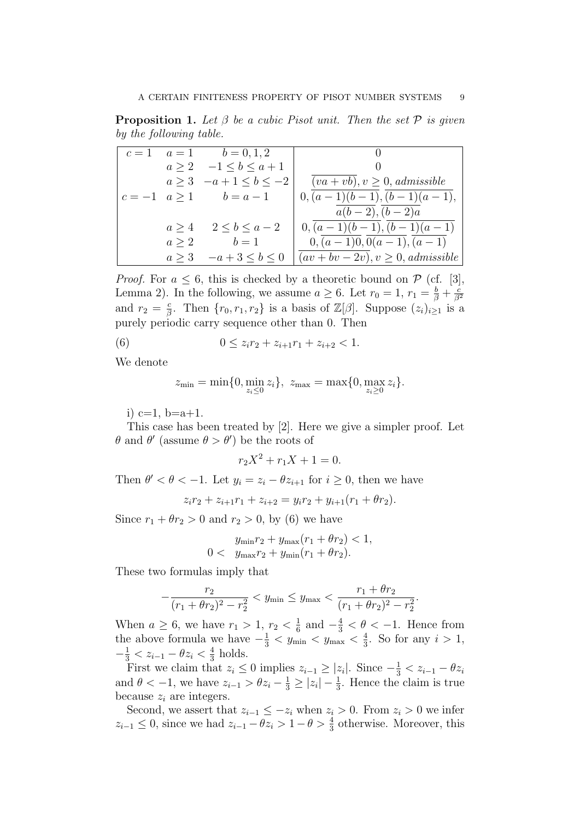**Proposition 1.** Let  $\beta$  be a cubic Pisot unit. Then the set  $\mathcal{P}$  is given by the following table.

| $c=1$ |       | $a=1$ $b=0,1,2$                |                                       |
|-------|-------|--------------------------------|---------------------------------------|
|       |       | $a\geq 2$ $-1\leq b\leq a+1$   |                                       |
|       |       | $a \ge 3$ $-a+1 \le b \le -2$  | $(va + vb), v \ge 0, admissible$      |
|       |       | $c = -1$ $a \ge 1$ $b = a - 1$ | $0, (a-1)(b-1), (b-1)(a-1),$          |
|       |       |                                | $a(b-2), (b-2)a$                      |
|       | a > 4 | $2 \leq b \leq a-2$            | $0, (a-1)(b-1), (b-1)(a-1)$           |
|       |       | $a \geq 2$ $b = 1$             | $0, (a-1)0, 0(a-1), (a-1)$            |
|       | a > 3 | $-a+3 < b < 0$                 | $(av + bv - 2v), v \ge 0, admissible$ |

*Proof.* For  $a \leq 6$ , this is checked by a theoretic bound on  $\mathcal{P}$  (cf. [3], Lemma 2). In the following, we assume  $a \geq 6$ . Let  $r_0 = 1$ ,  $r_1 = \frac{b}{\beta} + \frac{c}{\beta}$  $\overline{\beta^2}$ and  $r_2 = \frac{c}{6}$  $\frac{c}{\beta}$ . Then  $\{r_0, r_1, r_2\}$  is a basis of  $\mathbb{Z}[\beta]$ . Suppose  $(z_i)_{i\geq 1}$  is a purely periodic carry sequence other than 0. Then

(6) 
$$
0 \le z_i r_2 + z_{i+1} r_1 + z_{i+2} < 1.
$$

We denote

$$
z_{\min} = \min\{0, \min_{z_i \leq 0} z_i\}, \ z_{\max} = \max\{0, \max_{z_i \geq 0} z_i\}.
$$

i)  $c=1$ ,  $b=a+1$ .

This case has been treated by [2]. Here we give a simpler proof. Let  $\theta$  and  $\theta'$  (assume  $\theta > \theta'$ ) be the roots of

 $r_2X^2 + r_1X + 1 = 0.$ 

Then  $\theta' < \theta < -1$ . Let  $y_i = z_i - \theta z_{i+1}$  for  $i \geq 0$ , then we have

 $z_i r_2 + z_{i+1}r_1 + z_{i+2} = y_i r_2 + y_{i+1}(r_1 + \theta r_2).$ 

Since  $r_1 + \theta r_2 > 0$  and  $r_2 > 0$ , by (6) we have

$$
y_{\min}r_2 + y_{\max}(r_1 + \theta r_2) < 1, \\
0 < y_{\max}r_2 + y_{\min}(r_1 + \theta r_2).
$$

These two formulas imply that

$$
-\frac{r_2}{(r_1+\theta r_2)^2-r_2^2} < y_{\min} \le y_{\max} < \frac{r_1+\theta r_2}{(r_1+\theta r_2)^2-r_2^2}.
$$

When  $a \ge 6$ , we have  $r_1 > 1$ ,  $r_2 < \frac{1}{6}$  $\frac{1}{6}$  and  $-\frac{4}{3} < \theta < -1$ . Hence from the above formula we have  $-\frac{1}{3} < y_{\text{min}} < y_{\text{max}} < \frac{4}{3}$  $\frac{4}{3}$ . So for any  $i > 1$ ,  $-\frac{1}{3} < z_{i-1} - \theta z_i < \frac{4}{3}$  $\frac{4}{3}$  holds.

First we claim that  $z_i \leq 0$  implies  $z_{i-1} \geq |z_i|$ . Since  $-\frac{1}{3} < z_{i-1} - \theta z_i$ and  $\theta < -1$ , we have  $z_{i-1} > \theta z_i - \frac{1}{3} \ge |z_i| - \frac{1}{3}$ . Hence the claim is true because  $z_i$  are integers.

Second, we assert that  $z_{i-1} \leq -z_i$  when  $z_i > 0$ . From  $z_i > 0$  we infer  $z_{i-1}$  ≤ 0, since we had  $z_{i-1} - \theta z_i > 1 - \theta > \frac{4}{3}$  otherwise. Moreover, this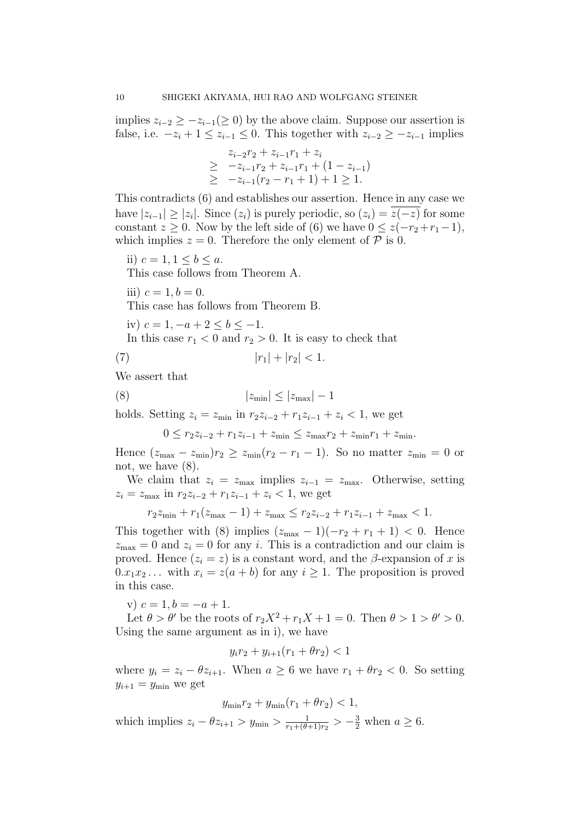implies  $z_{i-2} \geq -z_{i-1} \geq 0$  by the above claim. Suppose our assertion is false, i.e.  $-z_i + 1 \leq z_{i-1} \leq 0$ . This together with  $z_{i-2} \geq -z_{i-1}$  implies

$$
z_{i-2}r_2 + z_{i-1}r_1 + z_i
$$
  
\n
$$
\geq -z_{i-1}r_2 + z_{i-1}r_1 + (1 - z_{i-1})
$$
  
\n
$$
\geq -z_{i-1}(r_2 - r_1 + 1) + 1 \geq 1.
$$

This contradicts (6) and establishes our assertion. Hence in any case we have  $|z_{i-1}| \ge |z_i|$ . Since  $(z_i)$  is purely periodic, so  $(z_i) = z(-z)$  for some constant  $z \geq 0$ . Now by the left side of (6) we have  $0 \leq z(-r_2+r_1-1)$ , which implies  $z = 0$ . Therefore the only element of  $P$  is 0.

ii)  $c = 1, 1 \le b \le a$ .

This case follows from Theorem A.

iii)  $c = 1, b = 0$ .

This case has follows from Theorem B.

iv)  $c = 1, -a + 2 < b < -1$ .

In this case  $r_1 < 0$  and  $r_2 > 0$ . It is easy to check that

(7)  $|r_1| + |r_2| < 1.$ 

We assert that

$$
(8) \t\t |z_{\min}| \le |z_{\max}| - 1
$$

holds. Setting  $z_i = z_{\min}$  in  $r_2z_{i-2} + r_1z_{i-1} + z_i < 1$ , we get

$$
0 \le r_2 z_{i-2} + r_1 z_{i-1} + z_{\min} \le z_{\max} r_2 + z_{\min} r_1 + z_{\min}.
$$

Hence  $(z_{\text{max}} - z_{\text{min}})r_2 \ge z_{\text{min}}(r_2 - r_1 - 1)$ . So no matter  $z_{\text{min}} = 0$  or not, we have (8).

We claim that  $z_i = z_{\text{max}}$  implies  $z_{i-1} = z_{\text{max}}$ . Otherwise, setting  $z_i = z_{\text{max}}$  in  $r_2z_{i-2} + r_1z_{i-1} + z_i < 1$ , we get

$$
r_2 z_{\min} + r_1 (z_{\max} - 1) + z_{\max} \le r_2 z_{i-2} + r_1 z_{i-1} + z_{\max} < 1.
$$

This together with (8) implies  $(z_{\text{max}} - 1)(-r_2 + r_1 + 1) < 0$ . Hence  $z_{\text{max}} = 0$  and  $z_i = 0$  for any *i*. This is a contradiction and our claim is proved. Hence  $(z_i = z)$  is a constant word, and the  $\beta$ -expansion of x is  $0.x_1x_2...$  with  $x_i = z(a + b)$  for any  $i \ge 1$ . The proposition is proved in this case.

v)  $c = 1, b = -a + 1.$ 

Let  $\theta > \theta'$  be the roots of  $r_2X^2 + r_1X + 1 = 0$ . Then  $\theta > 1 > \theta' > 0$ . Using the same argument as in i), we have

$$
y_i r_2 + y_{i+1}(r_1 + \theta r_2) < 1
$$

where  $y_i = z_i - \theta z_{i+1}$ . When  $a \ge 6$  we have  $r_1 + \theta r_2 < 0$ . So setting  $y_{i+1} = y_{\min}$  we get

$$
y_{\min}r_2 + y_{\min}(r_1 + \theta r_2) < 1,
$$

which implies  $z_i - \theta z_{i+1} > y_{\min} > \frac{1}{r_1 + (\theta)}$  $\frac{1}{r_1 + (\theta + 1)r_2} > -\frac{3}{2}$  when  $a \ge 6$ .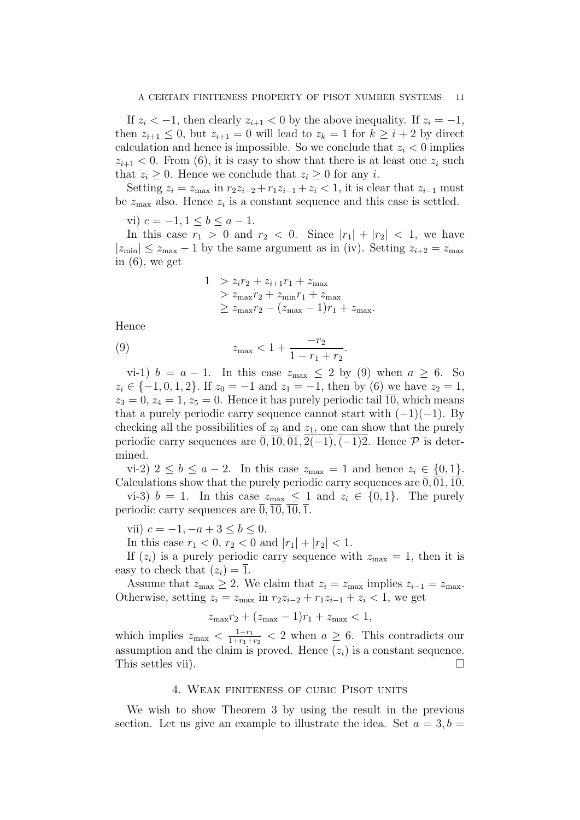If  $z_i < -1$ , then clearly  $z_{i+1} < 0$  by the above inequality. If  $z_i = -1$ , then  $z_{i+1} \leq 0$ , but  $z_{i+1} = 0$  will lead to  $z_k = 1$  for  $k \geq i+2$  by direct calculation and hence is impossible. So we conclude that  $z_i < 0$  implies  $z_{i+1}$  < 0. From (6), it is easy to show that there is at least one  $z_i$  such that  $z_i \geq 0$ . Hence we conclude that  $z_i \geq 0$  for any i.

Setting  $z_i = z_{\text{max}}$  in  $r_2z_{i-2} + r_1z_{i-1} + z_i < 1$ , it is clear that  $z_{i-1}$  must be  $z_{\text{max}}$  also. Hence  $z_i$  is a constant sequence and this case is settled.

vi)  $c = -1, 1 \leq b \leq a - 1$ .

In this case  $r_1 > 0$  and  $r_2 < 0$ . Since  $|r_1| + |r_2| < 1$ , we have  $|z_{\text{min}}| \leq z_{\text{max}} - 1$  by the same argument as in (iv). Setting  $z_{i+2} = z_{\text{max}}$ in (6), we get

$$
1 > z_i r_2 + z_{i+1} r_1 + z_{\text{max}}
$$
  
>  $z_{\text{max}} r_2 + z_{\text{min}} r_1 + z_{\text{max}}$   
 $\ge z_{\text{max}} r_2 - (z_{\text{max}} - 1)r_1 + z_{\text{max}}$ .

Hence

(9) 
$$
z_{\max} < 1 + \frac{-r_2}{1 - r_1 + r_2}.
$$

vi-1)  $b = a - 1$ . In this case  $z_{\text{max}} \leq 2$  by (9) when  $a \geq 6$ . So  $z_i \in \{-1, 0, 1, 2\}$ . If  $z_0 = -1$  and  $z_1 = -1$ , then by (6) we have  $z_2 = 1$ ,  $z_3 = 0, z_4 = 1, z_5 = 0$ . Hence it has purely periodic tail  $\overline{10}$ , which means that a purely periodic carry sequence cannot start with  $(-1)(-1)$ . By checking all the possibilities of  $z_0$  and  $z_1$ , one can show that the purely periodic carry sequences are  $\overline{0}$ ,  $\overline{10}$ ,  $\overline{01}$ ,  $\overline{2(-1)}$ ,  $\overline{(-1)2}$ . Hence  $\mathcal P$  is determined.

vi-2)  $2 \leq b \leq a-2$ . In this case  $z_{\text{max}} = 1$  and hence  $z_i \in \{0, 1\}$ . Calculations show that the purely periodic carry sequences are  $\overline{0, 01, 10}$ .

vi-3)  $b = 1$ . In this case  $z_{\text{max}} \leq 1$  and  $z_i \in \{0, 1\}$ . The purely periodic carry sequences are  $\overline{0}$ ,  $\overline{10}$ ,  $\overline{10}$ ,  $\overline{10}$ ,  $\overline{1}$ .

vii)  $c = -1, -a + 3 \le b \le 0$ .

In this case  $r_1 < 0$ ,  $r_2 < 0$  and  $|r_1| + |r_2| < 1$ .

If  $(z_i)$  is a purely periodic carry sequence with  $z_{\text{max}} = 1$ , then it is easy to check that  $(z_i) = \overline{1}$ .

Assume that  $z_{\text{max}} \geq 2$ . We claim that  $z_i = z_{\text{max}}$  implies  $z_{i-1} = z_{\text{max}}$ . Otherwise, setting  $z_i = z_{\text{max}}$  in  $r_2z_{i-2} + r_1z_{i-1} + z_i < 1$ , we get

$$
z_{\max}r_2 + (z_{\max} - 1)r_1 + z_{\max} < 1,
$$

which implies  $z_{\text{max}} < \frac{1+r_1}{1+r_1+r_2}$  $\frac{1+r_1}{1+r_1+r_2}$  < 2 when  $a \ge 6$ . This contradicts our assumption and the claim is proved. Hence  $(z<sub>i</sub>)$  is a constant sequence. This settles vii).

#### 4. Weak finiteness of cubic Pisot units

We wish to show Theorem 3 by using the result in the previous section. Let us give an example to illustrate the idea. Set  $a = 3, b =$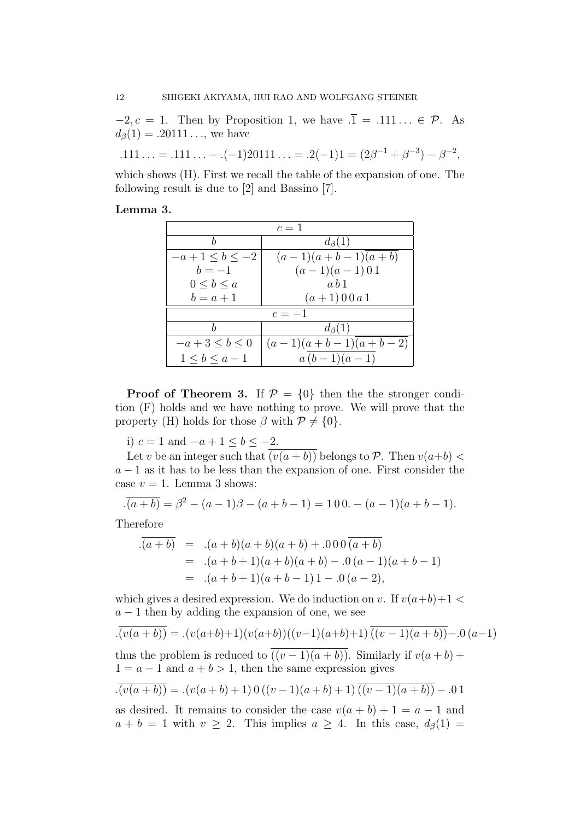$-2, c = 1$ . Then by Proposition 1, we have  $\overline{.1} = .111... \in \mathcal{P}$ . As  $d_{\beta}(1) = .20111...$ , we have

$$
.111\ldots = .111\ldots - .(-1)20111\ldots = .2(-1)1 = (2\beta^{-1} + \beta^{-3}) - \beta^{-2},
$$

which shows (H). First we recall the table of the expansion of one. The following result is due to [2] and Bassino [7].

# Lemma 3.

| $c=1$                 |                       |  |  |
|-----------------------|-----------------------|--|--|
| h                     | $d_{\beta}(1)$        |  |  |
| $-a+1 \leq b \leq -2$ | $(a-1)(a+b-1)(a+b)$   |  |  |
| $b=-1$                | $(a-1)(a-1)$ 0 1      |  |  |
| $0 \leq b \leq a$     | a b 1                 |  |  |
| $b=a+1$               | $(a+1)00a1$           |  |  |
| $c=-1$                |                       |  |  |
|                       | $d_{\beta}(1)$        |  |  |
| $-a+3 \leq b \leq 0$  | $(a-1)(a+b-1)(a+b-2)$ |  |  |
| $1 < b < a - 1$       | $a(b-1)(a-1)$         |  |  |

**Proof of Theorem 3.** If  $\mathcal{P} = \{0\}$  then the stronger condition (F) holds and we have nothing to prove. We will prove that the property (H) holds for those  $\beta$  with  $\mathcal{P} \neq \{0\}.$ 

i)  $c = 1$  and  $-a + 1 \le b \le -2$ .

Let v be an integer such that  $(v(a + b))$  belongs to P. Then  $v(a+b)$  $a - 1$  as it has to be less than the expansion of one. First consider the case  $v = 1$ . Lemma 3 shows:

$$
\overline{a(b)} = \beta^2 - (a-1)\beta - (a+b-1) = 100. - (a-1)(a+b-1).
$$

Therefore

$$
\overline{(a+b)} = .(a+b)(a+b)(a+b) + .000 \overline{(a+b)}
$$
  
= .(a+b+1)(a+b)(a+b) - .0(a-1)(a+b-1)  
= .(a+b+1)(a+b-1)1 - .0(a-2),

which gives a desired expression. We do induction on v. If  $v(a+b)+1$  $a - 1$  then by adding the expansion of one, we see

$$
\overline{.(\overline{v(a+b)})} = .(\overline{v(a+b)}+1)(\overline{v(a+b)})((\overline{v-1})(a+b)+1)\overline{((\overline{v-1})(a+b))-0(a-1)}
$$

thus the problem is reduced to  $((v-1)(a+b))$ . Similarly if  $v(a+b)$  +  $1 = a - 1$  and  $a + b > 1$ , then the same expression gives

$$
\overline{. (v(a+b))} = .(v(a+b)+1) \, 0 \, ((v-1)(a+b)+1) \, \overline{((v-1)(a+b))} - .01
$$

as desired. It remains to consider the case  $v(a + b) + 1 = a - 1$  and  $a + b = 1$  with  $v \geq 2$ . This implies  $a \geq 4$ . In this case,  $d_{\beta}(1) =$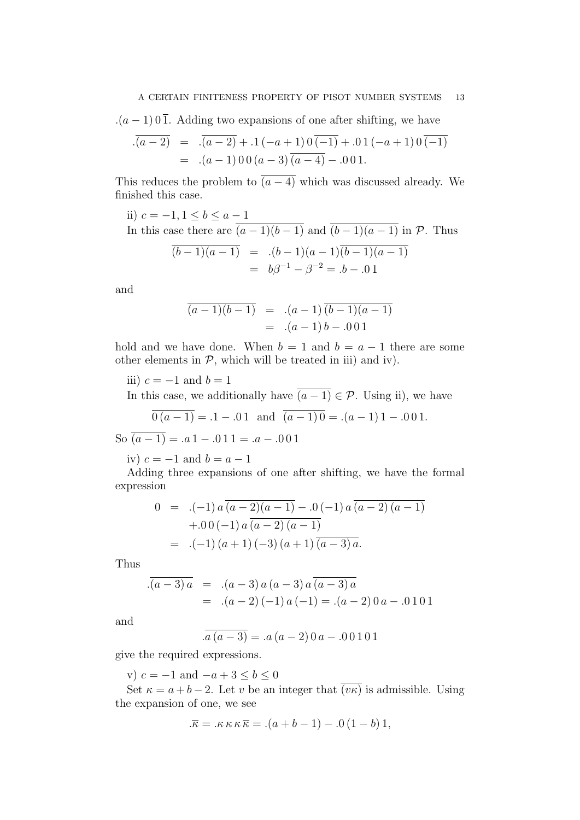$(a-1)$  0  $\overline{1}$ . Adding two expansions of one after shifting, we have

$$
\overline{(a-2)} = \overline{(a-2)} + .1(-a+1) \overline{0(-1)} + .01(-a+1) \overline{0(-1)}
$$
  
= .(a-1) 0 0 (a-3) (a-4) - .0 0 1.

This reduces the problem to  $\overline{(a-4)}$  which was discussed already. We finished this case.

ii)  $c = -1, 1 \le b \le a - 1$ 

In this case there are 
$$
\overline{(a-1)(b-1)}
$$
 and  $\overline{(b-1)(a-1)}$  in  $\mathcal{P}$ . Thus  
\n
$$
\overline{(b-1)(a-1)} = (b-1)(a-1)\overline{(b-1)(a-1)}
$$
\n
$$
= b\beta^{-1} - \beta^{-2} = b - 0.01
$$

and

$$
\overline{(a-1)(b-1)} = .(a-1)\overline{(b-1)(a-1)}\n= .(a-1)b-.001
$$

hold and we have done. When  $b = 1$  and  $b = a - 1$  there are some other elements in  $P$ , which will be treated in iii) and iv).

iii)  $c = -1$  and  $b = 1$ 

In this case, we additionally have  $\overline{(a-1)} \in \mathcal{P}$ . Using ii), we have

$$
\overline{0(a-1)} = .1 - .01
$$
 and  $\overline{(a-1)0} = .(a-1)1 - .001$ .

So  $\overline{(a-1)} = .a1 - .011 = .a - .001$ 

iv)  $c = -1$  and  $b = a - 1$ 

Adding three expansions of one after shifting, we have the formal expression

$$
0 = .(-1) a \overline{(a-2)(a-1)} - .0 (-1) a \overline{(a-2)(a-1)}+ .0 0 (-1) a \overline{(a-2)(a-1)}= .(-1) (a+1) (-3) (a+1) \overline{(a-3) a}.
$$

Thus

$$
\overline{(a-3)a} = .(a-3)a (a-3)a \overline{(a-3)a}
$$
  
= .(a-2)(-1)a(-1) = .(a-2)0a - .0101

and

$$
\overline{a(a-3)} = .a(a-2)0a-.00101
$$

give the required expressions.

v)  $c = -1$  and  $-a + 3 \le b \le 0$ 

Set  $\kappa = a + b - 2$ . Let v be an integer that  $\overline{(vk)}$  is admissible. Using the expansion of one, we see

$$
\overline{\kappa} = \kappa \kappa \kappa \overline{\kappa} = \left( a + b - 1 \right) - \left( 0 \left( 1 - b \right) \right),
$$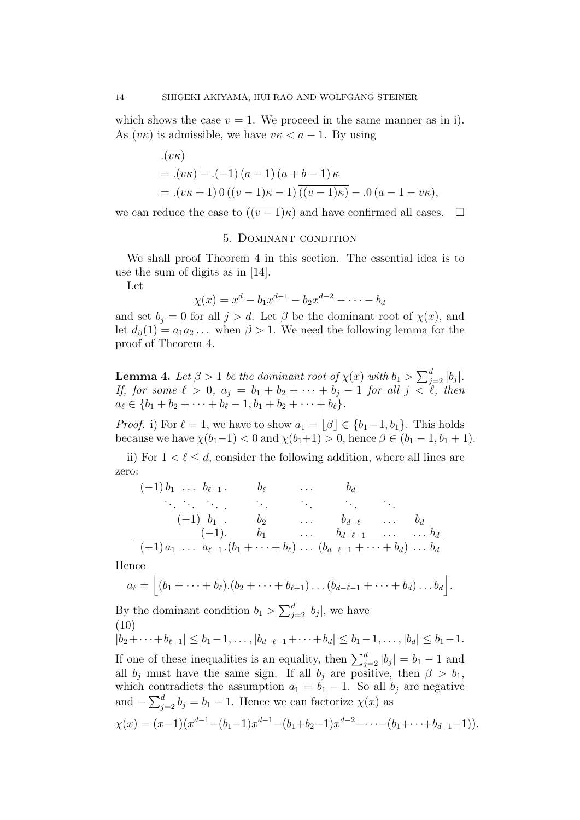which shows the case  $v = 1$ . We proceed in the same manner as in i). As  $(v\kappa)$  is admissible, we have  $v\kappa < a - 1$ . By using

$$
\overline{. (v\kappa)}
$$
  
= 
$$
\overline{. (v\kappa)} - .(-1) (a - 1) (a + b - 1) \overline{\kappa}
$$
  
= 
$$
.(\nu\kappa + 1) 0 ((\nu - 1)\kappa - 1) \overline{((\nu - 1)\kappa)} - .0 (a - 1 - \nu\kappa),
$$

we can reduce the case to  $\overline{((v-1)\kappa)}$  and have confirmed all cases.  $\Box$ 

### 5. Dominant condition

We shall proof Theorem 4 in this section. The essential idea is to use the sum of digits as in [14].

Let

$$
\chi(x) = x^d - b_1 x^{d-1} - b_2 x^{d-2} - \dots - b_d
$$

and set  $b_j = 0$  for all  $j > d$ . Let  $\beta$  be the dominant root of  $\chi(x)$ , and let  $d_{\beta}(1) = a_1 a_2 \dots$  when  $\beta > 1$ . We need the following lemma for the proof of Theorem 4.

**Lemma 4.** Let  $\beta > 1$  be the dominant root of  $\chi(x)$  with  $b_1 > \sum_{j=2}^d |b_j|$ . If, for some  $\ell > 0$ ,  $a_j = b_1 + b_2 + \cdots + b_j - 1$  for all  $j < \ell$ , then  $a_{\ell} \in \{b_1 + b_2 + \cdots + b_{\ell} - 1, b_1 + b_2 + \cdots + b_{\ell}\}.$ 

*Proof.* i) For  $\ell = 1$ , we have to show  $a_1 = \lfloor \beta \rfloor \in \{b_1 - 1, b_1\}$ . This holds because we have  $\chi(b_1-1) < 0$  and  $\chi(b_1+1) > 0$ , hence  $\beta \in (b_1-1, b_1+1)$ .

ii) For  $1 < \ell \leq d$ , consider the following addition, where all lines are zero:

$$
(-1) b_1 \t b_{\ell-1} \t b_{\ell} \t b_d
$$
  
\n...  
\n
$$
(-1) b_1 \t b_2 \t b_{d-\ell} \t b_d
$$
  
\n
$$
(-1) \t b_1 \t b_2 \t b_{d-\ell} \t b_d
$$
  
\n
$$
(-1) a_1 \t a_{\ell-1} (b_1 + \cdots + b_\ell) \t (b_{d-\ell-1} + \cdots + b_d) \t b_d
$$

Hence

$$
a_{\ell} = \left[ (b_1 + \cdots + b_{\ell}).(b_2 + \cdots + b_{\ell+1}) \ldots (b_{d-\ell-1} + \cdots + b_d) \ldots b_d \right].
$$

By the dominant condition  $b_1 > \sum_{j=2}^d |b_j|$ , we have (10)

 $|b_2+\cdots+b_{\ell+1}| \leq b_1-1,\ldots, |b_{d-\ell-1}+\cdots+b_d| \leq b_1-1,\ldots, |b_d| \leq b_1-1.$ If one of these inequalities is an equality, then  $\sum_{j=2}^{d} |b_j| = b_1 - 1$  and all  $b_j$  must have the same sign. If all  $b_j$  are positive, then  $\beta > b_1$ , which contradicts the assumption  $a_1 = b_1 - 1$ . So all  $b_j$  are negative and  $-\sum_{j=2}^{d} b_j = b_1 - 1$ . Hence we can factorize  $\chi(x)$  as

$$
\chi(x) = (x-1)(x^{d-1} - (b_1-1)x^{d-1} - (b_1+b_2-1)x^{d-2} - \dots - (b_1+\dots+b_{d-1}-1)).
$$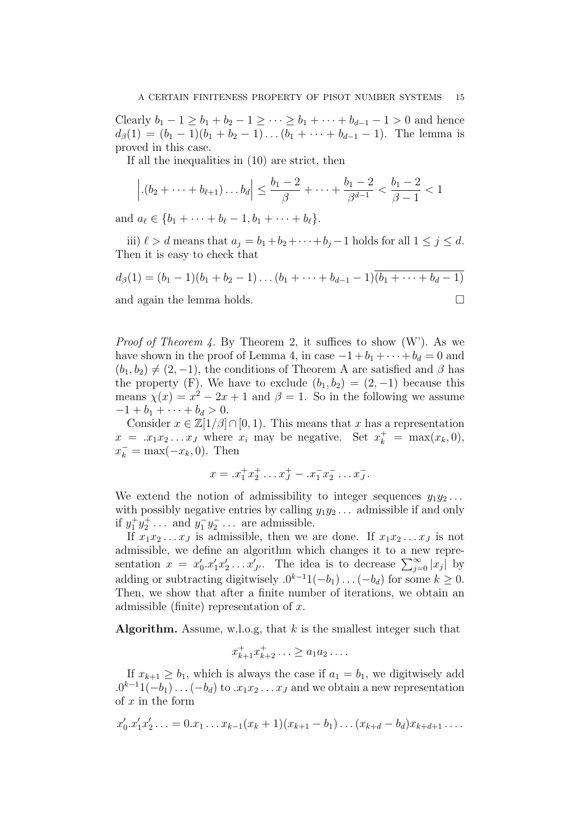Clearly  $b_1 - 1 \ge b_1 + b_2 - 1 \ge \cdots \ge b_1 + \cdots + b_{d-1} - 1 > 0$  and hence  $d_{\beta}(1) = (b_1 - 1)(b_1 + b_2 - 1)\dots(b_1 + \dots + b_{d-1} - 1)$ . The lemma is proved in this case.

If all the inequalities in (10) are strict, then

$$
\left|.(b_2 + \dots + b_{\ell+1}) \dots b_d \right| \le \frac{b_1 - 2}{\beta} + \dots + \frac{b_1 - 2}{\beta^{d-1}} < \frac{b_1 - 2}{\beta - 1} < 1
$$

and  $a_{\ell} \in \{b_1 + \cdots + b_{\ell} - 1, b_1 + \cdots + b_{\ell}\}.$ 

iii)  $\ell > d$  means that  $a_j = b_1+b_2+\cdots+b_j-1$  holds for all  $1 \leq j \leq d$ . Then it is easy to check that

$$
d_{\beta}(1) = (b_1 - 1)(b_1 + b_2 - 1)\dots(b_1 + \dots + b_{d-1} - 1)(\overline{b_1 + \dots + b_d - 1})
$$
  
and again the lemma holds

and again the lemma holds.

*Proof of Theorem 4.* By Theorem 2, it suffices to show  $(W')$ . As we have shown in the proof of Lemma 4, in case  $-1 + b_1 + \cdots + b_d = 0$  and  $(b_1, b_2) \neq (2, -1)$ , the conditions of Theorem A are satisfied and  $\beta$  has the property (F). We have to exclude  $(b_1, b_2) = (2, -1)$  because this means  $\chi(x) = x^2 - 2x + 1$  and  $\beta = 1$ . So in the following we assume  $-1 + b_1 + \cdots + b_d > 0.$ 

Consider  $x \in \mathbb{Z}[1/\beta] \cap [0,1)$ . This means that x has a representation  $x = x_1 x_2 ... x_J$  where  $x_i$  may be negative. Set  $x_k^+ = \max(x_k, 0)$ ,  $x_k^- = \max(-x_k, 0)$ . Then

$$
x = .x_1^+ x_2^+ \dots x_J^+ - .x_1^- x_2^- \dots x_J^-.
$$

We extend the notion of admissibility to integer sequences  $y_1y_2...$ with possibly negative entries by calling  $y_1y_2 \ldots$  admissible if and only if  $y_1^+ y_2^+ \dots$  and  $y_1^- y_2^- \dots$  are admissible.

If  $x_1x_2...x_J$  is admissible, then we are done. If  $x_1x_2...x_J$  is not admissible, we define an algorithm which changes it to a new representation  $x = x'_0.x'_1x'_2 \ldots x'_{J'}$ . The idea is to decrease  $\sum_{j=0}^{\infty} |x_j|$  by adding or subtracting digitwisely  $.0^{k-1}1(-b_1)\dots(-b_d)$  for some  $k \geq 0$ . Then, we show that after a finite number of iterations, we obtain an admissible (finite) representation of  $x$ .

**Algorithm.** Assume, w.l.o.g, that  $k$  is the smallest integer such that

$$
x_{k+1}^+ x_{k+2}^+ \ldots \ge a_1 a_2 \ldots
$$

If  $x_{k+1} \geq b_1$ , which is always the case if  $a_1 = b_1$ , we digitwisely add  $.0^{k-1}1(-b_1)\ldots(-b_d)$  to  $.x_1x_2\ldots x_J$  and we obtain a new representation of  $x$  in the form

$$
x'_0 \cdot x'_1 x'_2 \ldots = 0 \cdot x_1 \ldots x_{k-1} (x_k + 1) (x_{k+1} - b_1) \ldots (x_{k+d} - b_d) x_{k+d+1} \ldots
$$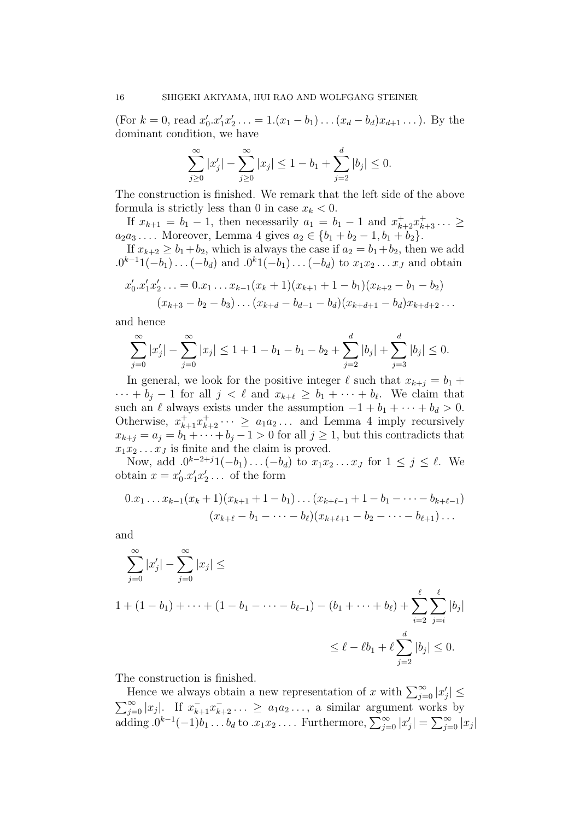(For  $k = 0$ , read  $x'_0.x'_1x'_2 \ldots = 1.(x_1 - b_1) \ldots (x_d - b_d)x_{d+1} \ldots$ ). By the dominant condition, we have

$$
\sum_{j\geq 0}^{\infty} |x'_j| - \sum_{j\geq 0}^{\infty} |x_j| \leq 1 - b_1 + \sum_{j=2}^{d} |b_j| \leq 0.
$$

The construction is finished. We remark that the left side of the above formula is strictly less than 0 in case  $x_k < 0$ .

If  $x_{k+1} = b_1 - 1$ , then necessarily  $a_1 = b_1 - 1$  and  $x_{k+2}^+ x_{k+3}^+ \dots \ge$  $a_2a_3...$  Moreover, Lemma 4 gives  $a_2 \in \{b_1 + b_2 - 1, b_1 + b_2\}.$ 

If  $x_{k+2} \geq b_1 + b_2$ , which is always the case if  $a_2 = b_1 + b_2$ , then we add  $.0^{k-1}1(-b_1)\ldots(-b_d)$  and  $.0^{k}1(-b_1)\ldots(-b_d)$  to  $x_1x_2\ldots x_J$  and obtain

$$
x'_0 \tcdot x'_1 x'_2 \tots = 0 \tcdot x_1 \tcdot x_{k-1} (x_k + 1)(x_{k+1} + 1 - b_1)(x_{k+2} - b_1 - b_2)
$$
  

$$
(x_{k+3} - b_2 - b_3) \tcdot (x_{k+d} - b_{d-1} - b_d)(x_{k+d+1} - b_d) x_{k+d+2} \tcdot \tcdot
$$

and hence

$$
\sum_{j=0}^{\infty} |x'_j| - \sum_{j=0}^{\infty} |x_j| \le 1 + 1 - b_1 - b_1 - b_2 + \sum_{j=2}^{d} |b_j| + \sum_{j=3}^{d} |b_j| \le 0.
$$

In general, we look for the positive integer  $\ell$  such that  $x_{k+j} = b_1 +$  $\cdots + b_j - 1$  for all  $j < \ell$  and  $x_{k+\ell} \geq b_1 + \cdots + b_{\ell}$ . We claim that such an  $\ell$  always exists under the assumption  $-1 + b_1 + \cdots + b_d > 0$ . Otherwise,  $x_{k+1}^+ x_{k+2}^+ \cdots \ge a_1 a_2 \ldots$  and Lemma 4 imply recursively  $x_{k+j} = a_j = b_1 + \cdots + b_j - 1 > 0$  for all  $j \ge 1$ , but this contradicts that  $x_1x_2 \ldots x_J$  is finite and the claim is proved.

Now, add  $.0^{k-2+j}1(-b_1)...(-b_d)$  to  $x_1x_2...x_J$  for  $1 \le j \le \ell$ . We obtain  $x = x'_0.x'_1x'_2...$  of the form

$$
0.x_1 \dots x_{k-1}(x_k+1)(x_{k+1}+1-b_1)\dots (x_{k+\ell-1}+1-b_1-\dots-b_{k+\ell-1})
$$
  

$$
(x_{k+\ell}-b_1-\dots-b_\ell)(x_{k+\ell+1}-b_2-\dots-b_{\ell+1})\dots
$$

and

$$
\sum_{j=0}^{\infty} |x'_j| - \sum_{j=0}^{\infty} |x_j| \le
$$
  
1 + (1 - b<sub>1</sub>) + \dots + (1 - b<sub>1</sub> - \dots - b<sub>l-1</sub>) - (b<sub>1</sub> + \dots + b<sub>l</sub>) +  $\sum_{i=2}^{l} \sum_{j=i}^{l} |b_j|$   
 $\leq l - \ell b_1 + l \sum_{j=2}^{d} |b_j| \leq 0.$ 

The construction is finished.

Hence we always obtain a new representation of x with  $\sum_{j=0}^{\infty} |x'_j|$   $\leq$  $\sum_{j=0}^{\infty} |x_j|$ . If  $x_{k+1}^{-}x_{k+2}^{-}$ ...  $\ge a_1 a_2 \dots$ , a similar argument works by adding  $.0^{k-1}(-1)b_1 \ldots b_d$  to  $.x_1x_2 \ldots$  Furthermore,  $\sum_{j=0}^{\infty} |x'_j| = \sum_{j=0}^{\infty} |x_j|$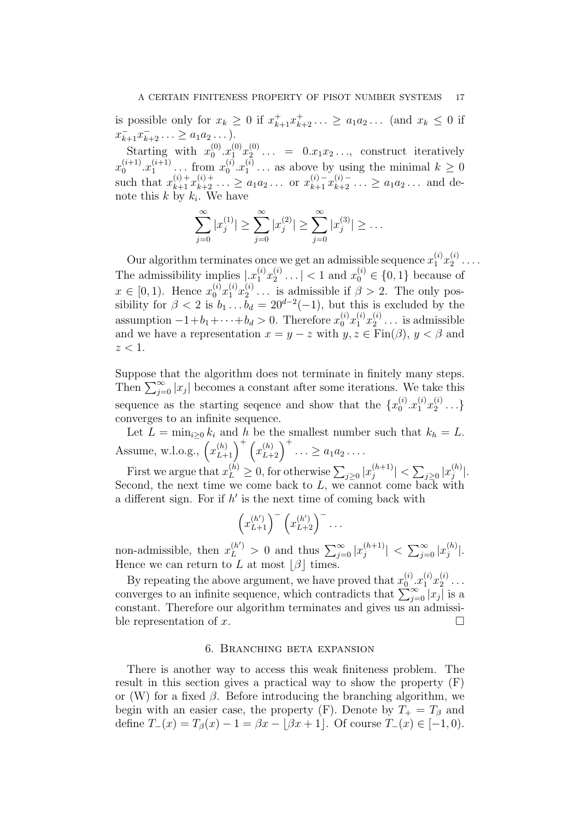is possible only for  $x_k \geq 0$  if  $x_{k+1}^+ x_{k+2}^+ \dots \geq a_1 a_2 \dots$  (and  $x_k \leq 0$  if  $x_{k+1}^{\dagger} x_{k+2}^{\dagger} \ldots \geq a_1 a_2 \ldots$ .

Starting with  $x_0^{(0)}$  $_{0}^{\left( 0\right) }.x_{1}^{\left( 0\right) }x_{2}^{\left( 0\right) }$  $2<sup>(0)</sup>$  ... = 0. $x_1x_2$ ..., construct iteratively  $x_0^{(i+1)}$  $x_1^{(i+1)}$ . $x_1^{(i+1)}$  $x_1^{(i+1)}$  ... from  $x_0^{(i)}$  $_{0}^{\left( i\right) }.x_{1}^{\left( i\right) }$  $n_1^{(i)}$ ... as above by using the minimal  $k \geq 0$ such that  $x_{k+1}^{(i)+} x_{k+2}^{(i)+} \ldots \ge a_1 a_2 \ldots$  or  $x_{k+1}^{(i)-} x_{k+2}^{(i)-} \ldots \ge a_1 a_2 \ldots$  and denote this  $k$  by  $k_i$ . We have

$$
\sum_{j=0}^{\infty} |x_j^{(1)}| \ge \sum_{j=0}^{\infty} |x_j^{(2)}| \ge \sum_{j=0}^{\infty} |x_j^{(3)}| \ge \dots
$$

Our algorithm terminates once we get an admissible sequence  $x_1^{(i)}x_2^{(i)}$  $\overset{\scriptscriptstyle(1)}{2}\cdot\cdot\cdot\cdot$ The admissibility implies  $\lfloor x_1^{(i)}x_2^{(i)} \rfloor$  $\binom{i}{2}$ ... | < 1 and  $x_0^{(i)} \in \{0, 1\}$  because of  $x \in [0, 1)$ . Hence  $x_0^{(i)} x_1^{(i)} x_2^{(i)}$  $2^{(i)}$ ... is admissible if  $\beta > 2$ . The only possibility for  $\beta < 2$  is  $b_1 \dots b_d = 20^{d-2}(-1)$ , but this is excluded by the assumption  $-1+b_1+\cdots+b_d > 0$ . Therefore  $x_0^{(i)}x_1^{(i)}x_2^{(i)}$  $2^{(i)}$ ... is admissible and we have a representation  $x = y - z$  with  $y, z \in \text{Fin}(\beta)$ ,  $y < \beta$  and  $z < 1$ .

Suppose that the algorithm does not terminate in finitely many steps. Then  $\sum_{j=0}^{\infty} |x_j|$  becomes a constant after some iterations. We take this sequence as the starting sequence and show that the  $\{x_0^{(i)}\}$  $x_1^{(i)}x_2^{(i)}$  $\genfrac{\{}{\}}{0pt}{}{i}{2}\cdots$ converges to an infinite sequence.

Let  $L = \min_{i \geq 0} k_i$  and h be the smallest number such that  $k_h = L$ . Assume, w.l.o.g.,  $(x_{L+1}^{(h)})^{\dagger} (x_{L+2}^{(h)})^{\dagger} \dots \ge a_1 a_2 \dots$ 

First we argue that  $x_L^{(h)} \geq 0$ , for otherwise  $\sum_{j\geq 0} |x_j^{(h+1)}|$  $|j^{(h+1)}| < \sum_{j\geq 0} |x_j^{(h)}|$  $\binom{n}{j}$ . Second, the next time we come back to  $L$ , we cannot come back with a different sign. For if  $h'$  is the next time of coming back with

$$
\left(x_{L+1}^{(h')}\right)^{-}\left(x_{L+2}^{(h')}\right)^{-}\dots
$$

non-admissible, then  $x_L^{(h')} > 0$  and thus  $\sum_{j=0}^{\infty} |x_j^{(h+1)}|$  $\left| \binom{h+1}{j} \right| \, < \, \sum_{j=0}^{\infty} |x_j^{(h)}|$  $\binom{n}{j}$ . Hence we can return to L at most  $|\beta|$  times.

By repeating the above argument, we have proved that  $x_0^{(i)}$  $x_1^{(i)}x_2^{(i)}$  $\overset{\scriptscriptstyle(1)}{2}$   $\cdots$ converges to an infinite sequence, which contradicts that  $\sum_{j=0}^{\infty} |x_j|$  is a constant. Therefore our algorithm terminates and gives us an admissible representation of x.

## 6. Branching beta expansion

There is another way to access this weak finiteness problem. The result in this section gives a practical way to show the property (F) or (W) for a fixed  $\beta$ . Before introducing the branching algorithm, we begin with an easier case, the property (F). Denote by  $T_+ = T_\beta$  and define  $T_-(x) = T_\beta(x) - 1 = \beta x - [\beta x + 1]$ . Of course  $T_-(x) \in [-1, 0)$ .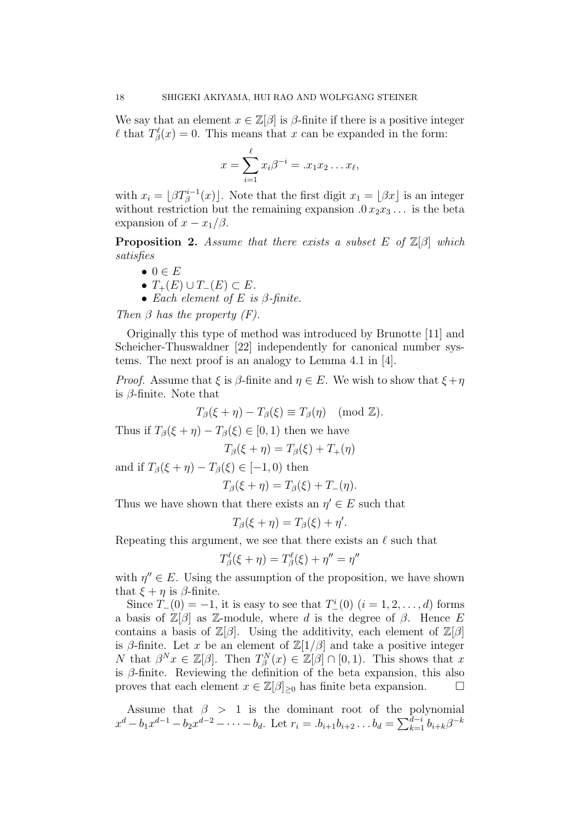We say that an element  $x \in \mathbb{Z}[\beta]$  is  $\beta$ -finite if there is a positive integer  $\ell$  that  $T^{\ell}_{\beta}(x) = 0$ . This means that x can be expanded in the form:

$$
x = \sum_{i=1}^{\ell} x_i \beta^{-i} = .x_1 x_2 \dots x_{\ell},
$$

with  $x_i = \lfloor \beta T^{i-1}_{\beta}(x) \rfloor$ . Note that the first digit  $x_1 = \lfloor \beta x \rfloor$  is an integer without restriction but the remaining expansion  $0 x_2 x_3 \dots$  is the beta expansion of  $x - x_1/\beta$ .

**Proposition 2.** Assume that there exists a subset E of  $\mathbb{Z}[\beta]$  which satisfies

- $\bullet \ 0 \in E$
- $T_+(E) \cup T_-(E) \subset E$ .
- Each element of E is  $\beta$ -finite.

Then  $\beta$  has the property  $(F)$ .

Originally this type of method was introduced by Brunotte [11] and Scheicher-Thuswaldner [22] independently for canonical number systems. The next proof is an analogy to Lemma 4.1 in [4].

*Proof.* Assume that  $\xi$  is  $\beta$ -finite and  $\eta \in E$ . We wish to show that  $\xi + \eta$ is  $\beta$ -finite. Note that

$$
T_{\beta}(\xi + \eta) - T_{\beta}(\xi) \equiv T_{\beta}(\eta) \pmod{\mathbb{Z}}.
$$

Thus if  $T_{\beta}(\xi + \eta) - T_{\beta}(\xi) \in [0,1)$  then we have

$$
T_{\beta}(\xi + \eta) = T_{\beta}(\xi) + T_{+}(\eta)
$$

and if  $T_{\beta}(\xi + \eta) - T_{\beta}(\xi) \in [-1, 0)$  then

$$
T_{\beta}(\xi + \eta) = T_{\beta}(\xi) + T_{-}(\eta).
$$

Thus we have shown that there exists an  $\eta' \in E$  such that

$$
T_{\beta}(\xi + \eta) = T_{\beta}(\xi) + \eta'.
$$

Repeating this argument, we see that there exists an  $\ell$  such that

$$
T^{\ell}_{\beta}(\xi + \eta) = T^{\ell}_{\beta}(\xi) + \eta'' = \eta''
$$

with  $\eta'' \in E$ . Using the assumption of the proposition, we have shown that  $\xi + \eta$  is  $\beta$ -finite.

Since  $T_-(0) = -1$ , it is easy to see that  $T_-(0)$   $(i = 1, 2, ..., d)$  forms a basis of  $\mathbb{Z}[\beta]$  as Z-module, where d is the degree of  $\beta$ . Hence E contains a basis of  $\mathbb{Z}[\beta]$ . Using the additivity, each element of  $\mathbb{Z}[\beta]$ is β-finite. Let x be an element of  $\mathbb{Z}[1/\beta]$  and take a positive integer N that  $\beta^{N}x \in \mathbb{Z}[\beta]$ . Then  $T_{\beta}^{N}(x) \in \mathbb{Z}[\beta] \cap [0,1)$ . This shows that x is  $\beta$ -finite. Reviewing the definition of the beta expansion, this also proves that each element  $x \in \mathbb{Z}[\beta]_{\geq 0}$  has finite beta expansion.  $\square$ 

Assume that  $\beta > 1$  is the dominant root of the polynomial  $x^d - b_1 x^{d-1} - b_2 x^{d-2} - \cdots - b_d$ . Let  $r_i = .b_{i+1}b_{i+2} \ldots b_d = \sum_{k=1}^{d-i} b_{i+k} \beta^{-k}$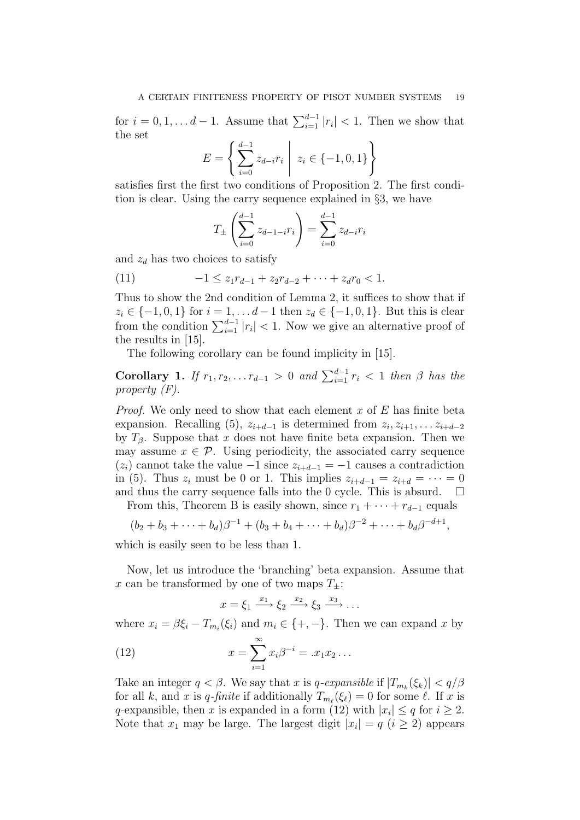for  $i = 0, 1, \ldots d - 1$ . Assume that  $\sum_{i=1}^{d-1} |r_i| < 1$ . Then we show that the set

$$
E = \left\{ \sum_{i=0}^{d-1} z_{d-i} r_i \middle| z_i \in \{-1, 0, 1\} \right\}
$$

satisfies first the first two conditions of Proposition 2. The first condition is clear. Using the carry sequence explained in §3, we have

$$
T_{\pm} \left( \sum_{i=0}^{d-1} z_{d-1-i} r_i \right) = \sum_{i=0}^{d-1} z_{d-i} r_i
$$

and  $z_d$  has two choices to satisfy

(11) 
$$
-1 \le z_1 r_{d-1} + z_2 r_{d-2} + \cdots + z_d r_0 < 1.
$$

Thus to show the 2nd condition of Lemma 2, it suffices to show that if  $z_i \in \{-1, 0, 1\}$  for  $i = 1, \ldots d - 1$  then  $z_d \in \{-1, 0, 1\}$ . But this is clear from the condition  $\sum_{i=1}^{d-1} |r_i| < 1$ . Now we give an alternative proof of the results in [15].

The following corollary can be found implicity in [15].

Corollary 1. If  $r_1, r_2, \ldots r_{d-1} > 0$  and  $\sum_{i=1}^{d-1} r_i < 1$  then  $\beta$  has the property (F).

*Proof.* We only need to show that each element x of  $E$  has finite beta expansion. Recalling (5),  $z_{i+d-1}$  is determined from  $z_i, z_{i+1}, \ldots, z_{i+d-2}$ by  $T_\beta$ . Suppose that x does not have finite beta expansion. Then we may assume  $x \in \mathcal{P}$ . Using periodicity, the associated carry sequence  $(z<sub>i</sub>)$  cannot take the value −1 since  $z<sub>i+d-1</sub> = -1$  causes a contradiction in (5). Thus  $z_i$  must be 0 or 1. This implies  $z_{i+d-1} = z_{i+d} = \cdots = 0$ and thus the carry sequence falls into the 0 cycle. This is absurd.  $\Box$ 

From this, Theorem B is easily shown, since  $r_1 + \cdots + r_{d-1}$  equals

$$
(b_2+b_3+\cdots+b_d)\beta^{-1}+(b_3+b_4+\cdots+b_d)\beta^{-2}+\cdots+b_d\beta^{-d+1},
$$

which is easily seen to be less than 1.

Now, let us introduce the 'branching' beta expansion. Assume that x can be transformed by one of two maps  $T_{+}$ :

$$
x = \xi_1 \xrightarrow{x_1} \xi_2 \xrightarrow{x_2} \xi_3 \xrightarrow{x_3} \dots
$$

where  $x_i = \beta \xi_i - T_{m_i}(\xi_i)$  and  $m_i \in \{+, -\}$ . Then we can expand x by

(12) 
$$
x = \sum_{i=1}^{\infty} x_i \beta^{-i} = .x_1 x_2 ...
$$

Take an integer  $q < \beta$ . We say that x is q-expansible if  $|T_{m_k}(\xi_k)| < q/\beta$ for all k, and x is q-finite if additionally  $T_{m_\ell}(\xi_\ell) = 0$  for some  $\ell$ . If x is q-expansible, then x is expanded in a form (12) with  $|x_i| \leq q$  for  $i \geq 2$ . Note that  $x_1$  may be large. The largest digit  $|x_i| = q$   $(i \geq 2)$  appears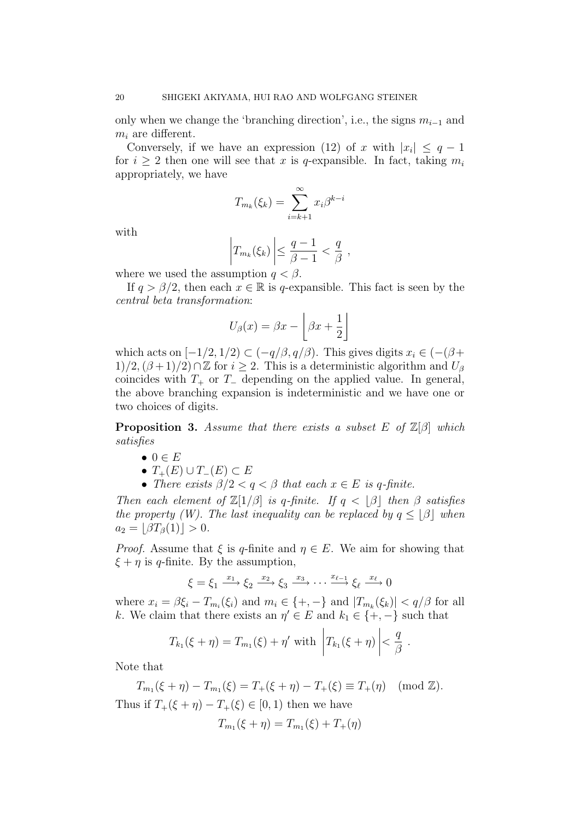only when we change the 'branching direction', i.e., the signs  $m_{i-1}$  and  $m_i$  are different.

Conversely, if we have an expression (12) of x with  $|x_i| \leq q-1$ for  $i \geq 2$  then one will see that x is q-expansible. In fact, taking  $m_i$ appropriately, we have

$$
T_{m_k}(\xi_k) = \sum_{i=k+1}^{\infty} x_i \beta^{k-i}
$$

with

$$
\left|T_{m_k}(\xi_k)\right| \leq \frac{q-1}{\beta-1} < \frac{q}{\beta},
$$

where we used the assumption  $q < \beta$ .

If  $q > \beta/2$ , then each  $x \in \mathbb{R}$  is q-expansible. This fact is seen by the central beta transformation:

$$
U_{\beta}(x) = \beta x - \left[\beta x + \frac{1}{2}\right]
$$

which acts on  $[-1/2, 1/2) \subset (-q/\beta, q/\beta)$ . This gives digits  $x_i \in (-(\beta +$  $1)/2$ ,  $(\beta+1)/2$ ) ∩ Z for  $i \ge 2$ . This is a deterministic algorithm and  $U_{\beta}$ coincides with  $T_+$  or  $T_-\$  depending on the applied value. In general, the above branching expansion is indeterministic and we have one or two choices of digits.

**Proposition 3.** Assume that there exists a subset E of  $\mathbb{Z}[\beta]$  which satisfies

- $\bullet \ 0 \in E$
- $T_+(E) \cup T_-(E) \subset E$
- There exists  $\beta/2 < q < \beta$  that each  $x \in E$  is q-finite.

Then each element of  $\mathbb{Z}[1/\beta]$  is q-finite. If  $q < \lfloor \beta \rfloor$  then  $\beta$  satisfies the property (W). The last inequality can be replaced by  $q \leq |\beta|$  when  $a_2 = |\beta T_{\beta}(1)| > 0.$ 

*Proof.* Assume that  $\xi$  is q-finite and  $\eta \in E$ . We aim for showing that  $\xi + \eta$  is q-finite. By the assumption,

$$
\xi = \xi_1 \xrightarrow{x_1} \xi_2 \xrightarrow{x_2} \xi_3 \xrightarrow{x_3} \cdots \xrightarrow{x_{\ell-1}} \xi_{\ell} \xrightarrow{x_{\ell}} 0
$$

where  $x_i = \beta \xi_i - T_{m_i}(\xi_i)$  and  $m_i \in \{+, -\}$  and  $|T_{m_k}(\xi_k)| < q/\beta$  for all k. We claim that there exists an  $\eta' \in E$  and  $k_1 \in \{+, -\}$  such that

$$
T_{k_1}(\xi+\eta)=T_{m_1}(\xi)+\eta'\,\,\text{with}\,\,\left|T_{k_1}(\xi+\eta)\right|<\frac{q}{\beta}.
$$

Note that

 $T_{m_1}(\xi + \eta) - T_{m_1}(\xi) = T_+(\xi + \eta) - T_+(\xi) \equiv T_+(\eta) \pmod{\mathbb{Z}}.$ Thus if  $T_+(\xi + \eta) - T_+(\xi) \in [0,1)$  then we have

$$
T_{m_1}(\xi + \eta) = T_{m_1}(\xi) + T_+(\eta)
$$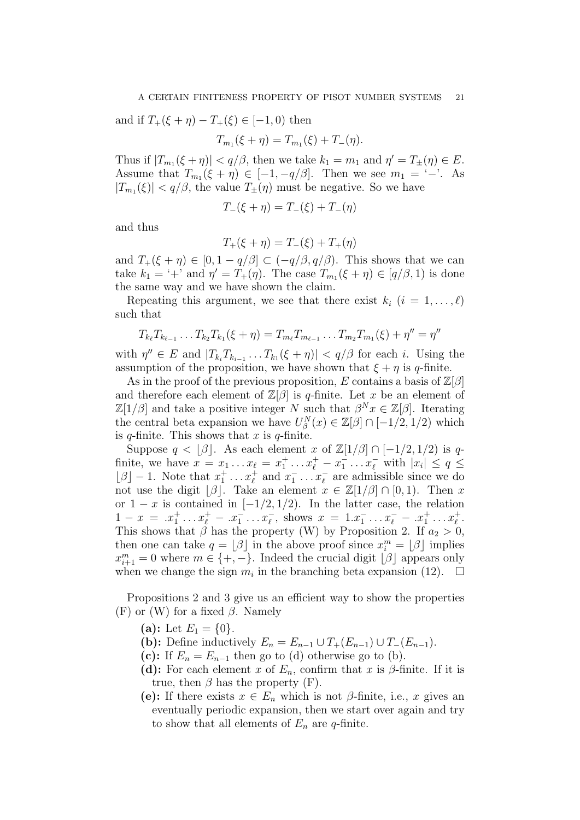and if  $T_+(\xi + \eta) - T_+(\xi) \in [-1,0)$  then

$$
T_{m_1}(\xi + \eta) = T_{m_1}(\xi) + T_{-}(\eta).
$$

Thus if  $|T_{m_1}(\xi + \eta)| < q/\beta$ , then we take  $k_1 = m_1$  and  $\eta' = T_{\pm}(\eta) \in E$ . Assume that  $T_{m_1}(\xi + \eta) \in [-1, -q/\beta]$ . Then we see  $m_1 = -$ . As  $|T_{m_1}(\xi)| < q/\beta$ , the value  $T_{\pm}(\eta)$  must be negative. So we have

$$
T_{-}(\xi + \eta) = T_{-}(\xi) + T_{-}(\eta)
$$

and thus

$$
T_{+}(\xi + \eta) = T_{-}(\xi) + T_{+}(\eta)
$$

and  $T_+(\xi + \eta) \in [0, 1 - q/\beta] \subset (-q/\beta, q/\beta)$ . This shows that we can take  $k_1 = ' +'$  and  $\eta' = T_+(\eta)$ . The case  $T_{m_1}(\xi + \eta) \in [q/\beta, 1)$  is done the same way and we have shown the claim.

Repeating this argument, we see that there exist  $k_i$   $(i = 1, \ldots, \ell)$ such that

$$
T_{k_{\ell}}T_{k_{\ell-1}}\ldots T_{k_2}T_{k_1}(\xi+\eta)=T_{m_{\ell}}T_{m_{\ell-1}}\ldots T_{m_2}T_{m_1}(\xi)+\eta''=\eta''
$$

with  $\eta'' \in E$  and  $|T_{k_i}T_{k_{i-1}}\ldots T_{k_1}(\xi+\eta)| < q/\beta$  for each i. Using the assumption of the proposition, we have shown that  $\xi + \eta$  is q-finite.

As in the proof of the previous proposition, E contains a basis of  $\mathbb{Z}[\beta]$ and therefore each element of  $\mathbb{Z}[\beta]$  is q-finite. Let x be an element of  $\mathbb{Z}[1/\beta]$  and take a positive integer N such that  $\beta^{N} x \in \mathbb{Z}[\beta]$ . Iterating the central beta expansion we have  $U_{\beta}^{N}(x) \in \mathbb{Z}[\beta] \cap [-1/2, 1/2)$  which is  $q$ -finite. This shows that x is  $q$ -finite.

Suppose  $q < |\beta|$ . As each element x of  $\mathbb{Z}[1/\beta] \cap [-1/2, 1/2)$  is qfinite, we have  $x = x_1 \dots x_\ell = x_1^+ \dots x_\ell^+ - x_1^- \dots x_\ell^-$  with  $|x_i| \le q \le$  $\lfloor \beta \rfloor - 1$ . Note that  $x_1^+ \dots x_\ell^+$  and  $x_1^- \dots x_\ell^-$  are admissible since we do not use the digit  $\lvert \beta \rvert$ . Take an element  $x \in \mathbb{Z}[1/\beta] \cap [0,1)$ . Then x or  $1 - x$  is contained in  $[-1/2, 1/2)$ . In the latter case, the relation  $1-x = .x_1^+ \ldots x_\ell^+ - .x_1^- \ldots x_\ell^-$ , shows  $x = 1.x_1^- \ldots x_\ell^- - .x_1^+ \ldots x_\ell^+$ . This shows that  $\beta$  has the property (W) by Proposition 2. If  $a_2 > 0$ , then one can take  $q = \lfloor \beta \rfloor$  in the above proof since  $x_i^m = \lfloor \beta \rfloor$  implies  $x_{i+1}^m = 0$  where  $m \in \{+, -\}.$  Indeed the crucial digit  $\lfloor \beta \rfloor$  appears only when we change the sign  $m_i$  in the branching beta expansion (12).  $\Box$ 

Propositions 2 and 3 give us an efficient way to show the properties (F) or (W) for a fixed  $\beta$ . Namely

- (a): Let  $E_1 = \{0\}$ .
- (**b**): Define inductively  $E_n = E_{n-1} \cup T_+(E_{n-1}) \cup T_-(E_{n-1}).$
- (c): If  $E_n = E_{n-1}$  then go to (d) otherwise go to (b).
- (d): For each element x of  $E_n$ , confirm that x is  $\beta$ -finite. If it is true, then  $\beta$  has the property (F).
- (e): If there exists  $x \in E_n$  which is not  $\beta$ -finite, i.e., x gives an eventually periodic expansion, then we start over again and try to show that all elements of  $E_n$  are q-finite.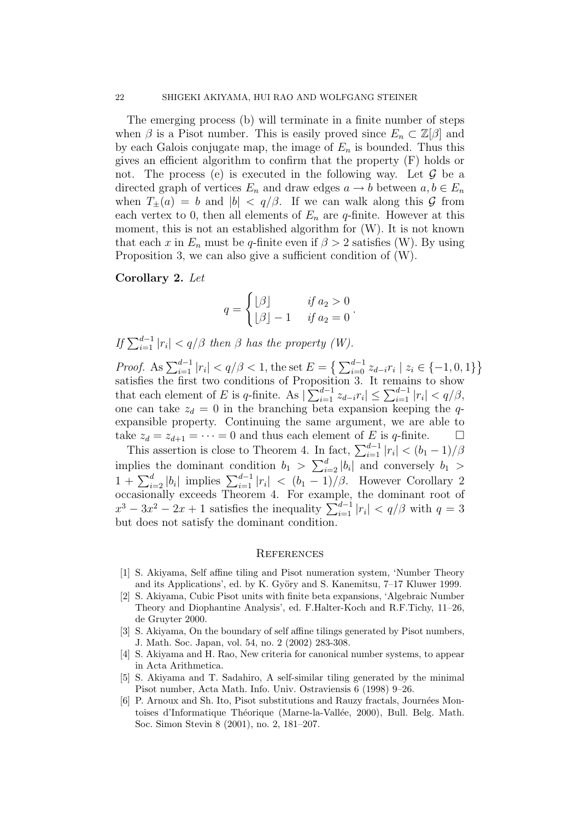The emerging process (b) will terminate in a finite number of steps when  $\beta$  is a Pisot number. This is easily proved since  $E_n \subset \mathbb{Z}[\beta]$  and by each Galois conjugate map, the image of  $E_n$  is bounded. Thus this gives an efficient algorithm to confirm that the property (F) holds or not. The process (e) is executed in the following way. Let  $\mathcal G$  be a directed graph of vertices  $E_n$  and draw edges  $a \to b$  between  $a, b \in E_n$ when  $T_{\pm}(a) = b$  and  $|b| < q/\beta$ . If we can walk along this G from each vertex to 0, then all elements of  $E_n$  are q-finite. However at this moment, this is not an established algorithm for (W). It is not known that each x in  $E_n$  must be q-finite even if  $\beta > 2$  satisfies (W). By using Proposition 3, we can also give a sufficient condition of (W).

### Corollary 2. Let

$$
q = \begin{cases} \lfloor \beta \rfloor & \text{if } a_2 > 0 \\ \lfloor \beta \rfloor - 1 & \text{if } a_2 = 0 \end{cases}.
$$

If  $\sum_{i=1}^{d-1} |r_i| < q/\beta$  then  $\beta$  has the property (W).

*Proof.* As  $\sum_{i=1}^{d-1} |r_i| < q/\beta < 1$ , the set  $E = \left\{ \sum_{i=0}^{d-1} z_{d-i} r_i \mid z_i \in \{-1, 0, 1\} \right\}$ satisfies the first two conditions of Proposition 3. It remains to show that each element of E is q-finite. As  $|\sum_{i=1}^{d-1} z_{d-i} r_i| \leq \sum_{i=1}^{d-1} |r_i| < q/\beta$ , one can take  $z_d = 0$  in the branching beta expansion keeping the qexpansible property. Continuing the same argument, we are able to take  $z_d = z_{d+1} = \cdots = 0$  and thus each element of E is q-finite.  $\square$ 

This assertion is close to Theorem 4. In fact,  $\sum_{i=1}^{d-1} |r_i| < (b_1 - 1)/\beta$ implies the dominant condition  $b_1 > \sum_{i=2}^d |b_i|$  and conversely  $b_1 >$  $1 + \sum_{i=2}^{d} |b_i|$  implies  $\sum_{i=1}^{d-1} |r_i| < (b_1 - 1)/\beta$ . However Corollary 2 occasionally exceeds Theorem 4. For example, the dominant root of  $x^3 - 3x^2 - 2x + 1$  satisfies the inequality  $\sum_{i=1}^{d-1} |r_i| < q/\beta$  with  $q = 3$ but does not satisfy the dominant condition.

#### **REFERENCES**

- [1] S. Akiyama, Self affine tiling and Pisot numeration system, 'Number Theory and its Applications', ed. by K. Györy and S. Kanemitsu,  $7-17$  Kluwer 1999.
- [2] S. Akiyama, Cubic Pisot units with finite beta expansions, 'Algebraic Number Theory and Diophantine Analysis', ed. F.Halter-Koch and R.F.Tichy, 11–26, de Gruyter 2000.
- [3] S. Akiyama, On the boundary of self affine tilings generated by Pisot numbers, J. Math. Soc. Japan, vol. 54, no. 2 (2002) 283-308.
- [4] S. Akiyama and H. Rao, New criteria for canonical number systems, to appear in Acta Arithmetica.
- [5] S. Akiyama and T. Sadahiro, A self-similar tiling generated by the minimal Pisot number, Acta Math. Info. Univ. Ostraviensis 6 (1998) 9–26.
- [6] P. Arnoux and Sh. Ito, Pisot substitutions and Rauzy fractals, Journées Montoises d'Informatique Théorique (Marne-la-Vallée, 2000), Bull. Belg. Math. Soc. Simon Stevin 8 (2001), no. 2, 181–207.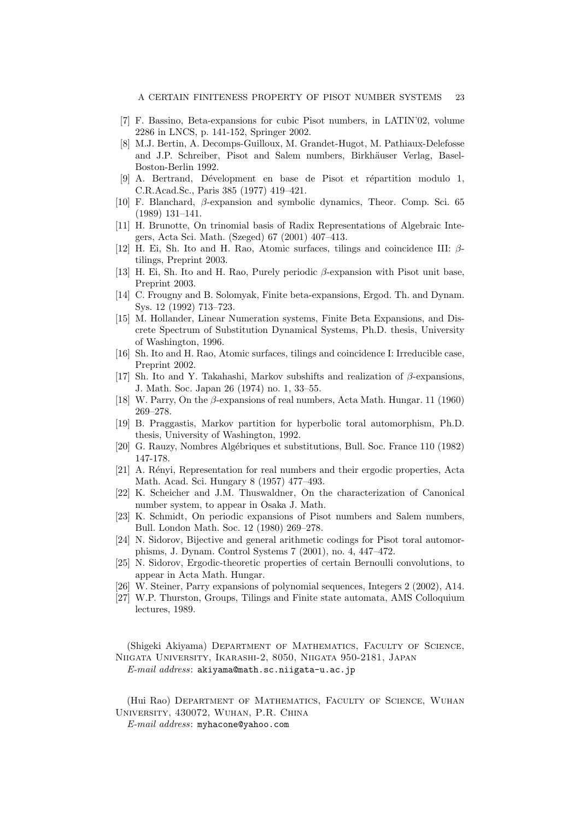- [7] F. Bassino, Beta-expansions for cubic Pisot numbers, in LATIN'02, volume 2286 in LNCS, p. 141-152, Springer 2002.
- [8] M.J. Bertin, A. Decomps-Guilloux, M. Grandet-Hugot, M. Pathiaux-Delefosse and J.P. Schreiber, Pisot and Salem numbers, Birkhäuser Verlag, Basel-Boston-Berlin 1992.
- [9] A. Bertrand, Dévelopment en base de Pisot et répartition modulo 1, C.R.Acad.Sc., Paris 385 (1977) 419–421.
- [10] F. Blanchard, β-expansion and symbolic dynamics, Theor. Comp. Sci. 65 (1989) 131–141.
- [11] H. Brunotte, On trinomial basis of Radix Representations of Algebraic Integers, Acta Sci. Math. (Szeged) 67 (2001) 407–413.
- [12] H. Ei, Sh. Ito and H. Rao, Atomic surfaces, tilings and coincidence III:  $\beta$ tilings, Preprint 2003.
- [13] H. Ei, Sh. Ito and H. Rao, Purely periodic β-expansion with Pisot unit base, Preprint 2003.
- [14] C. Frougny and B. Solomyak, Finite beta-expansions, Ergod. Th. and Dynam. Sys. 12 (1992) 713–723.
- [15] M. Hollander, Linear Numeration systems, Finite Beta Expansions, and Discrete Spectrum of Substitution Dynamical Systems, Ph.D. thesis, University of Washington, 1996.
- [16] Sh. Ito and H. Rao, Atomic surfaces, tilings and coincidence I: Irreducible case. Preprint 2002.
- [17] Sh. Ito and Y. Takahashi, Markov subshifts and realization of  $\beta$ -expansions. J. Math. Soc. Japan 26 (1974) no. 1, 33–55.
- [18] W. Parry, On the  $\beta$ -expansions of real numbers, Acta Math. Hungar. 11 (1960) 269–278.
- [19] B. Praggastis, Markov partition for hyperbolic toral automorphism, Ph.D. thesis, University of Washington, 1992.
- [20] G. Rauzy, Nombres Alg´ebriques et substitutions, Bull. Soc. France 110 (1982) 147-178.
- [21] A. Rényi, Representation for real numbers and their ergodic properties, Acta Math. Acad. Sci. Hungary 8 (1957) 477–493.
- [22] K. Scheicher and J.M. Thuswaldner, On the characterization of Canonical number system, to appear in Osaka J. Math.
- [23] K. Schmidt, On periodic expansions of Pisot numbers and Salem numbers, Bull. London Math. Soc. 12 (1980) 269–278.
- [24] N. Sidorov, Bijective and general arithmetic codings for Pisot toral automorphisms, J. Dynam. Control Systems 7 (2001), no. 4, 447–472.
- [25] N. Sidorov, Ergodic-theoretic properties of certain Bernoulli convolutions, to appear in Acta Math. Hungar.
- [26] W. Steiner, Parry expansions of polynomial sequences, Integers 2 (2002), A14.
- [27] W.P. Thurston, Groups, Tilings and Finite state automata, AMS Colloquium lectures, 1989.

(Shigeki Akiyama) Department of Mathematics, Faculty of Science, Niigata University, Ikarashi-2, 8050, Niigata 950-2181, Japan E-mail address: akiyama@math.sc.niigata-u.ac.jp

(Hui Rao) Department of Mathematics, Faculty of Science, Wuhan University, 430072, Wuhan, P.R. China

E-mail address: myhacone@yahoo.com